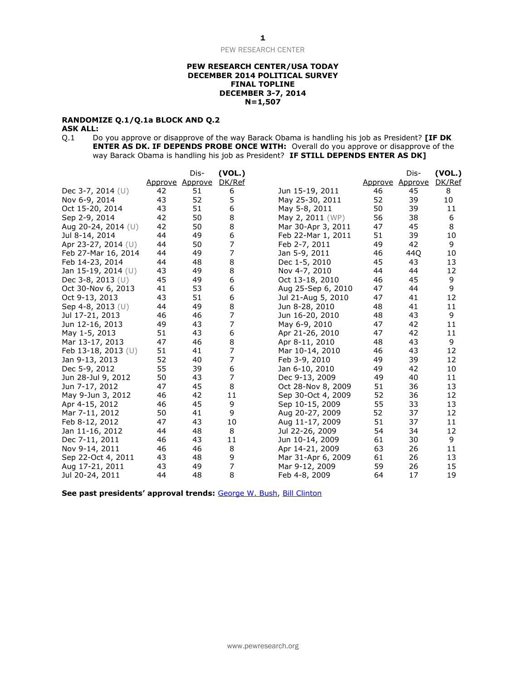#### **PEW RESEARCH CENTER/USA TODAY DECEMBER 2014 POLITICAL SURVEY FINAL TOPLINE DECEMBER 3-7, 2014 N=1,507**

### **RANDOMIZE Q.1/Q.1a BLOCK AND Q.2**

**ASK ALL:**<br>Q.1 Do Do you approve or disapprove of the way Barack Obama is handling his job as President? **[IF DK ENTER AS DK. IF DEPENDS PROBE ONCE WITH:** Overall do you approve or disapprove of the way Barack Obama is handling his job as President? **IF STILL DEPENDS ENTER AS DK]** 

|                       |         | Dis-    | (VOL.) |                    |         | Dis-    | (VOL.)      |
|-----------------------|---------|---------|--------|--------------------|---------|---------|-------------|
|                       | Approve | Approve | DK/Ref |                    | Approve | Approve | DK/Ref<br>8 |
| Dec 3-7, 2014 (U)     | 42      | 51      | 6      | Jun 15-19, 2011    | 46      | 45      |             |
| Nov 6-9, 2014         | 43      | 52      | 5      | May 25-30, 2011    | 52      | 39      | 10          |
| Oct 15-20, 2014       | 43      | 51      | 6      | May 5-8, 2011      | 50      | 39      | 11          |
| Sep 2-9, 2014         | 42      | 50      | 8      | May 2, 2011 (WP)   | 56      | 38      | 6           |
| Aug 20-24, 2014 (U)   | 42      | 50      | 8      | Mar 30-Apr 3, 2011 | 47      | 45      | 8           |
| Jul 8-14, 2014        | 44      | 49      | 6      | Feb 22-Mar 1, 2011 | 51      | 39      | 10          |
| Apr 23-27, 2014 $(U)$ | 44      | 50      | 7      | Feb 2-7, 2011      | 49      | 42      | 9           |
| Feb 27-Mar 16, 2014   | 44      | 49      | 7      | Jan 5-9, 2011      | 46      | 44Q     | 10          |
| Feb 14-23, 2014       | 44      | 48      | 8      | Dec 1-5, 2010      | 45      | 43      | 13          |
| Jan 15-19, 2014 (U)   | 43      | 49      | 8      | Nov 4-7, 2010      | 44      | 44      | 12          |
| Dec 3-8, 2013 (U)     | 45      | 49      | 6      | Oct 13-18, 2010    | 46      | 45      | 9           |
| Oct 30-Nov 6, 2013    | 41      | 53      | 6      | Aug 25-Sep 6, 2010 | 47      | 44      | 9           |
| Oct 9-13, 2013        | 43      | 51      | 6      | Jul 21-Aug 5, 2010 | 47      | 41      | 12          |
| Sep 4-8, 2013 $(U)$   | 44      | 49      | 8      | Jun 8-28, 2010     | 48      | 41      | 11          |
| Jul 17-21, 2013       | 46      | 46      | 7      | Jun 16-20, 2010    | 48      | 43      | 9           |
| Jun 12-16, 2013       | 49      | 43      | 7      | May 6-9, 2010      | 47      | 42      | 11          |
| May 1-5, 2013         | 51      | 43      | 6      | Apr 21-26, 2010    | 47      | 42      | 11          |
| Mar 13-17, 2013       | 47      | 46      | 8      | Apr 8-11, 2010     | 48      | 43      | 9           |
| Feb 13-18, 2013 (U)   | 51      | 41      | 7      | Mar 10-14, 2010    | 46      | 43      | 12          |
| Jan 9-13, 2013        | 52      | 40      | 7      | Feb 3-9, 2010      | 49      | 39      | 12          |
| Dec 5-9, 2012         | 55      | 39      | 6      | Jan 6-10, 2010     | 49      | 42      | 10          |
| Jun 28-Jul 9, 2012    | 50      | 43      | 7      | Dec 9-13, 2009     | 49      | 40      | 11          |
| Jun 7-17, 2012        | 47      | 45      | 8      | Oct 28-Nov 8, 2009 | 51      | 36      | 13          |
| May 9-Jun 3, 2012     | 46      | 42      | 11     | Sep 30-Oct 4, 2009 | 52      | 36      | 12          |
| Apr 4-15, 2012        | 46      | 45      | 9      | Sep 10-15, 2009    | 55      | 33      | 13          |
| Mar 7-11, 2012        | 50      | 41      | 9      | Aug 20-27, 2009    | 52      | 37      | 12          |
| Feb 8-12, 2012        | 47      | 43      | 10     | Aug 11-17, 2009    | 51      | 37      | 11          |
| Jan 11-16, 2012       | 44      | 48      | 8      | Jul 22-26, 2009    | 54      | 34      | 12          |
| Dec 7-11, 2011        | 46      | 43      | 11     | Jun 10-14, 2009    | 61      | 30      | 9           |
| Nov 9-14, 2011        | 46      | 46      | 8      | Apr 14-21, 2009    | 63      | 26      | 11          |
| Sep 22-Oct 4, 2011    | 43      | 48      | 9      | Mar 31-Apr 6, 2009 | 61      | 26      | 13          |
| Aug 17-21, 2011       | 43      | 49      | 7      | Mar 9-12, 2009     | 59      | 26      | 15          |
| Jul 20-24, 2011       | 44      | 48      | 8      | Feb 4-8, 2009      | 64      | 17      | 19          |

**See past presidents' approval trends:** [George W. Bush,](http://www.people-press.org/files/legacy-questionnaires/483.pdf) [Bill Clinton](http://www.people-press.org/files/legacy-questionnaires/18.pdf)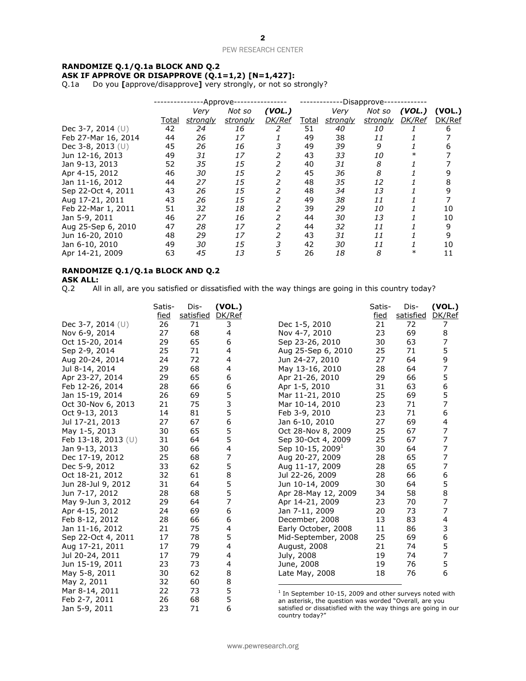### **RANDOMIZE Q.1/Q.1a BLOCK AND Q.2 ASK IF APPROVE OR DISAPPROVE (Q.1=1,2) [N=1,427]:**

Q.1a Do you **[**approve/disapprove**]** very strongly, or not so strongly?

|                     |              | -Approve- |          |               |              | -Disapprove- |           |        |        |
|---------------------|--------------|-----------|----------|---------------|--------------|--------------|-----------|--------|--------|
|                     |              | Very      | Not so   | (VOL.)        |              | Very         | Not so    | (VOL.) | (VOL.) |
|                     | <u>Total</u> | strongly  | strongly | <b>DK/Ref</b> | <u>Total</u> | strongly     | strongly  | DK/Ref | DK/Ref |
| Dec 3-7, 2014 (U)   | 42           | 24        | 16       | 2             | 51           | 40           | 10        |        | 6      |
| Feb 27-Mar 16, 2014 | 44           | 26        | 17       |               | 49           | 38           | 11        |        |        |
| Dec 3-8, 2013 $(U)$ | 45           | 26        | 16       |               | 49           | 39           | 9         |        |        |
| Jun 12-16, 2013     | 49           | 31        | 17       |               | 43           | 33           | <i>10</i> |        |        |
| Jan 9-13, 2013      | 52           | 35        | 15       | 2             | 40           | 31           | 8         |        |        |
| Apr 4-15, 2012      | 46           | 30        | 15       | 2             | 45           | 36           | 8         |        |        |
| Jan 11-16, 2012     | 44           | 27        | 15       | 2             | 48           | 35           | 12        |        | 8      |
| Sep 22-Oct 4, 2011  | 43           | 26        | 15       | 2             | 48           | 34           | 13        |        | 9      |
| Aug 17-21, 2011     | 43           | 26        | 15       | 2             | 49           | 38           | 11        |        |        |
| Feb 22-Mar 1, 2011  | 51           | 32        | 18       | 2             | 39           | 29           | <i>10</i> |        | 10     |
| Jan 5-9, 2011       | 46           | 27        | 16       | 2             | 44           | 30           | 13        |        | 10     |
| Aug 25-Sep 6, 2010  | 47           | 28        | 17       | 2             | 44           | 32           | 11        |        | 9      |
| Jun 16-20, 2010     | 48           | 29        | 17       | 2             | 43           | 31           | 11        |        | 9      |
| Jan 6-10, 2010      | 49           | 30        | 15       | 3             | 42           | 30           | 11        |        | 10     |
| Apr 14-21, 2009     | 63           | 45        | 13       | 5             | 26           | 18           | 8         |        | 11     |

### **RANDOMIZE Q.1/Q.1a BLOCK AND Q.2**

**ASK ALL:**<br>Q.2 All All in all, are you satisfied or dissatisfied with the way things are going in this country today?

|                       | Satis- | Dis-      | (VOL.) |                                                                                                                     | Satis- | Dis-      | (VOL.) |
|-----------------------|--------|-----------|--------|---------------------------------------------------------------------------------------------------------------------|--------|-----------|--------|
|                       | fied   | satisfied | DK/Ref |                                                                                                                     | fied   | satisfied | DK/Ref |
| Dec 3-7, 2014 $(U)$   | 26     | 71        | 3      | Dec 1-5, 2010                                                                                                       | 21     | 72        | 7      |
| Nov 6-9, 2014         | 27     | 68        | 4      | Nov 4-7, 2010                                                                                                       | 23     | 69        | 8      |
| Oct 15-20, 2014       | 29     | 65        | 6      | Sep 23-26, 2010                                                                                                     | 30     | 63        | 7      |
| Sep 2-9, 2014         | 25     | 71        | 4      | Aug 25-Sep 6, 2010                                                                                                  | 25     | 71        | 5      |
| Aug 20-24, 2014       | 24     | 72        | 4      | Jun 24-27, 2010                                                                                                     | 27     | 64        | 9      |
| Jul 8-14, 2014        | 29     | 68        | 4      | May 13-16, 2010                                                                                                     | 28     | 64        | 7      |
| Apr 23-27, 2014       | 29     | 65        | 6      | Apr 21-26, 2010                                                                                                     | 29     | 66        | 5      |
| Feb 12-26, 2014       | 28     | 66        | 6      | Apr 1-5, 2010                                                                                                       | 31     | 63        | 6      |
| Jan 15-19, 2014       | 26     | 69        | 5      | Mar 11-21, 2010                                                                                                     | 25     | 69        | 5      |
| Oct 30-Nov 6, 2013    | 21     | 75        | 3      | Mar 10-14, 2010                                                                                                     | 23     | 71        | 7      |
| Oct 9-13, 2013        | 14     | 81        | 5      | Feb 3-9, 2010                                                                                                       | 23     | 71        | 6      |
| Jul 17-21, 2013       | 27     | 67        | 6      | Jan 6-10, 2010                                                                                                      | 27     | 69        | 4      |
| May 1-5, 2013         | 30     | 65        | 5      | Oct 28-Nov 8, 2009                                                                                                  | 25     | 67        | 7      |
| Feb 13-18, 2013 $(U)$ | 31     | 64        | 5      | Sep 30-Oct 4, 2009                                                                                                  | 25     | 67        | 7      |
| Jan 9-13, 2013        | 30     | 66        | 4      | Sep 10-15, 2009 <sup>1</sup>                                                                                        | 30     | 64        | 7      |
| Dec 17-19, 2012       | 25     | 68        | 7      | Aug 20-27, 2009                                                                                                     | 28     | 65        | 7      |
| Dec 5-9, 2012         | 33     | 62        | 5      | Aug 11-17, 2009                                                                                                     | 28     | 65        | 7      |
| Oct 18-21, 2012       | 32     | 61        | 8      | Jul 22-26, 2009                                                                                                     | 28     | 66        | 6      |
| Jun 28-Jul 9, 2012    | 31     | 64        | 5      | Jun 10-14, 2009                                                                                                     | 30     | 64        | 5      |
| Jun 7-17, 2012        | 28     | 68        | 5      | Apr 28-May 12, 2009                                                                                                 | 34     | 58        | 8      |
| May 9-Jun 3, 2012     | 29     | 64        | 7      | Apr 14-21, 2009                                                                                                     | 23     | 70        | 7      |
| Apr 4-15, 2012        | 24     | 69        | 6      | Jan 7-11, 2009                                                                                                      | 20     | 73        | 7      |
| Feb 8-12, 2012        | 28     | 66        | 6      | December, 2008                                                                                                      | 13     | 83        | 4      |
| Jan 11-16, 2012       | 21     | 75        | 4      | Early October, 2008                                                                                                 | 11     | 86        | 3      |
| Sep 22-Oct 4, 2011    | 17     | 78        | 5      | Mid-September, 2008                                                                                                 | 25     | 69        | 6      |
| Aug 17-21, 2011       | 17     | 79        | 4      | August, 2008                                                                                                        | 21     | 74        | 5      |
| Jul 20-24, 2011       | 17     | 79        | 4      | July, 2008                                                                                                          | 19     | 74        | 7      |
| Jun 15-19, 2011       | 23     | 73        | 4      | June, 2008                                                                                                          | 19     | 76        | 5      |
| May 5-8, 2011         | 30     | 62        | 8      | Late May, 2008                                                                                                      | 18     | 76        | 6      |
| May 2, 2011           | 32     | 60        | 8      |                                                                                                                     |        |           |        |
| Mar 8-14, 2011        | 22     | 73        | 5      |                                                                                                                     |        |           |        |
| Feb 2-7, 2011         | 26     | 68        | 5      | $1$ In September 10-15, 2009 and other surveys noted with<br>an asterisk, the question was worded "Overall, are you |        |           |        |
| Jan 5-9, 2011         | 23     | 71        | 6      | satisfied or dissatisfied with the way things are going in our                                                      |        |           |        |

country today?"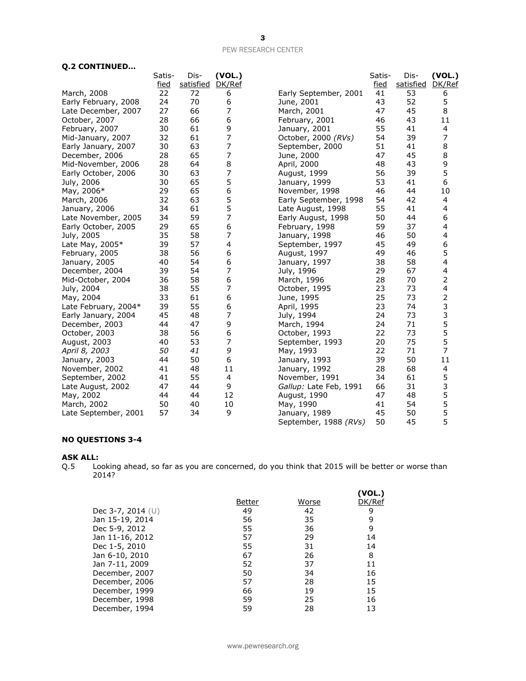| <b>Q.2 CONTINUED</b> |  |  |  |
|----------------------|--|--|--|
|----------------------|--|--|--|

| e.<br><u>Continued</u> |        |           |                  |                        |        |           |                |
|------------------------|--------|-----------|------------------|------------------------|--------|-----------|----------------|
|                        | Satis- | Dis-      | (VOL.)           |                        | Satis- | Dis-      | (VOL.)         |
|                        | fied   | satisfied | DK/Ref           |                        | fied   | satisfied | DK/Ref         |
| March, 2008            | 22     | 72        | 6                | Early September, 2001  | 41     | 53        | 6              |
| Early February, 2008   | 24     | 70        | 6                | June, 2001             | 43     | 52        | 5              |
| Late December, 2007    | 27     | 66        | $\overline{7}$   | March, 2001            | 47     | 45        | 8              |
| October, 2007          | 28     | 66        | 6                | February, 2001         | 46     | 43        | 11             |
| February, 2007         | 30     | 61        | 9                | January, 2001          | 55     | 41        | 4              |
| Mid-January, 2007      | 32     | 61        | $\boldsymbol{7}$ | October, 2000 (RVs)    | 54     | 39        | 7              |
| Early January, 2007    | 30     | 63        | 7                | September, 2000        | 51     | 41        | 8              |
| December, 2006         | 28     | 65        | 7                | June, 2000             | 47     | 45        | 8              |
| Mid-November, 2006     | 28     | 64        | $\,8\,$          | April, 2000            | 48     | 43        | 9              |
| Early October, 2006    | 30     | 63        | $\boldsymbol{7}$ | August, 1999           | 56     | 39        | 5              |
| July, 2006             | 30     | 65        | 5                | January, 1999          | 53     | 41        | 6              |
| May, 2006*             | 29     | 65        | 6                | November, 1998         | 46     | 44        | 10             |
| March, 2006            | 32     | 63        | 5                | Early September, 1998  | 54     | 42        | 4              |
| January, 2006          | 34     | 61        | 5                | Late August, 1998      | 55     | 41        | 4              |
| Late November, 2005    | 34     | 59        | 7                | Early August, 1998     | 50     | 44        | 6              |
| Early October, 2005    | 29     | 65        | 6                | February, 1998         | 59     | 37        | 4              |
| July, 2005             | 35     | 58        | $\overline{7}$   | January, 1998          | 46     | 50        | 4              |
| Late May, 2005*        | 39     | 57        | 4                | September, 1997        | 45     | 49        | 6              |
| February, 2005         | 38     | 56        | 6                | August, 1997           | 49     | 46        | 5              |
| January, 2005          | 40     | 54        | 6                | January, 1997          | 38     | 58        | 4              |
| December, 2004         | 39     | 54        | $\overline{7}$   | July, 1996             | 29     | 67        | 4              |
| Mid-October, 2004      | 36     | 58        | 6                | March, 1996            | 28     | 70        | $\overline{2}$ |
| July, 2004             | 38     | 55        | 7                | October, 1995          | 23     | 73        | 4              |
| May, 2004              | 33     | 61        | 6                | June, 1995             | 25     | 73        | $\overline{2}$ |
| Late February, 2004*   | 39     | 55        | 6                | April, 1995            | 23     | 74        | 3              |
| Early January, 2004    | 45     | 48        | 7                | July, 1994             | 24     | 73        | 3              |
| December, 2003         | 44     | 47        | 9                | March, 1994            | 24     | 71        | 5              |
| October, 2003          | 38     | 56        | 6                | October, 1993          | 22     | 73        | 5              |
| August, 2003           | 40     | 53        | 7                | September, 1993        | 20     | 75        | 5              |
| April 8, 2003          | 50     | 41        | 9                | May, 1993              | 22     | 71        | 7              |
| January, 2003          | 44     | 50        | 6                | January, 1993          | 39     | 50        | 11             |
| November, 2002         | 41     | 48        | 11               | January, 1992          | 28     | 68        | 4              |
| September, 2002        | 41     | 55        | $\overline{a}$   | November, 1991         | 34     | 61        | 5              |
| Late August, 2002      | 47     | 44        | 9                | Gallup: Late Feb, 1991 | 66     | 31        | 3              |
| May, 2002              | 44     | 44        | 12               | August, 1990           | 47     | 48        | 5              |
| March, 2002            | 50     | 40        | 10               | May, 1990              | 41     | 54        | 5              |
| Late September, 2001   | 57     | 34        | 9                | January, 1989          | 45     | 50        | 5              |
|                        |        |           |                  | September, 1988 (RVs)  | 50     | 45        | 5              |
|                        |        |           |                  |                        |        |           |                |

### **NO QUESTIONS 3-4**

#### **ASK ALL:**

Q.5 Looking ahead, so far as you are concerned, do you think that 2015 will be better or worse than 2014?

|        |       | (VOL.) |
|--------|-------|--------|
| Better | Worse | DK/Ref |
| 49     | 42    | 9      |
| 56     | 35    | 9      |
| 55     | 36    | 9      |
| 57     | 29    | 14     |
| 55     | 31    | 14     |
| 67     | 26    | 8      |
| 52     | 37    | 11     |
| 50     | 34    | 16     |
| 57     | 28    | 15     |
| 66     | 19    | 15     |
| 59     | 25    | 16     |
| 59     | 28    | 13     |
|        |       |        |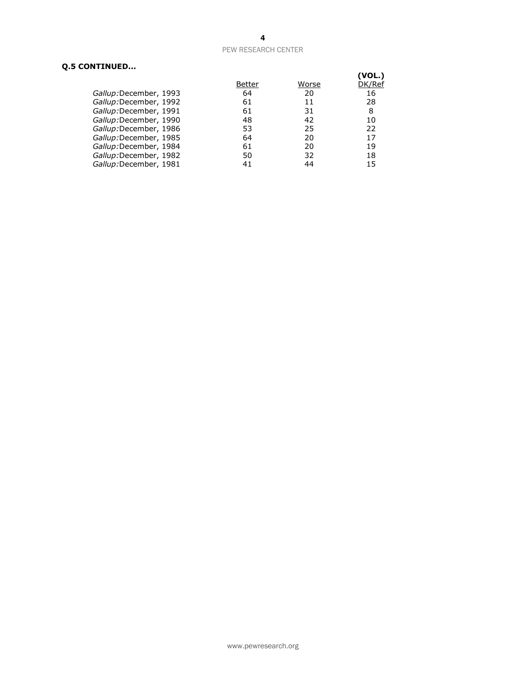### **Q.5 CONTINUED...**

|    |        | (VOL.) |
|----|--------|--------|
|    |        | DK/Ref |
| 64 | 20     | 16     |
| 61 | 11     | 28     |
| 61 | 31     | 8      |
| 48 | 42     | 10     |
| 53 | 25     | 22     |
| 64 | 20     | 17     |
| 61 | 20     | 19     |
| 50 | 32     | 18     |
| 41 | 44     | 15     |
|    | Better | Worse  |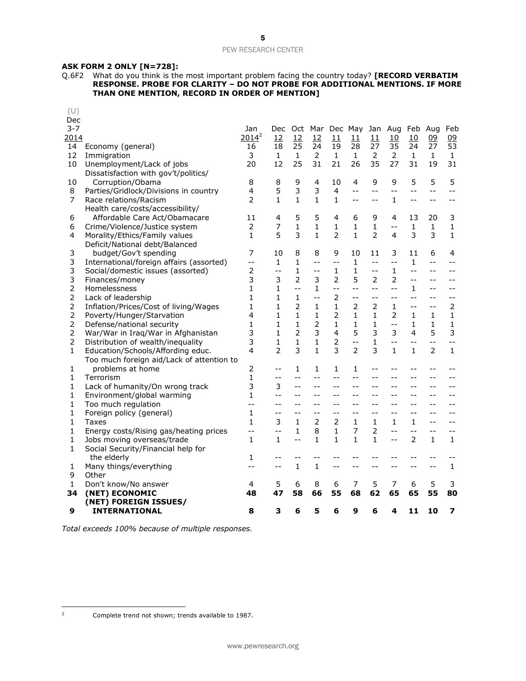### **ASK FORM 2 ONLY [N=728]:**

Q.6F2 What do you think is the most important problem facing the country today? **[RECORD VERBATIM RESPONSE. PROBE FOR CLARITY – DO NOT PROBE FOR ADDITIONAL MENTIONS. IF MORE THAN ONE MENTION, RECORD IN ORDER OF MENTION]**

| (U)<br>Dec     |                                           |                |                |                |                |                |                 |                |                            |                          |                |                |
|----------------|-------------------------------------------|----------------|----------------|----------------|----------------|----------------|-----------------|----------------|----------------------------|--------------------------|----------------|----------------|
| $3 - 7$        |                                           | Jan            | Dec.           |                |                |                | Oct Mar Dec May |                | Jan Aug                    | Feb                      | Aug            | Feb            |
| 2014           |                                           | $2014^2$       | 12             | 12             | 12             | 11             | 11              | 11             | 10                         | 10                       | 09             | 09             |
| 14             | Economy (general)                         | 16             | 18             | 25             | 24             | 19             | 28              | 27             | 35                         | 24                       | 27             | 53             |
| 12             | Immigration                               | 3              | 1              | 1              | 2              | 1              | 1               | 2              | 2                          | $\mathbf{1}$             | $\mathbf{1}$   | $\mathbf{1}$   |
| 10             | Unemployment/Lack of jobs                 | 20             | 12             | 25             | 31             | 21             | 26              | 35             | 27                         | 31                       | 19             | 31             |
|                | Dissatisfaction with gov't/politics/      |                |                |                |                |                |                 |                |                            |                          |                |                |
| 10             | Corruption/Obama                          | 8              | 8              | 9              | 4              | 10             | 4               | 9              | 9                          | 5                        | 5              | 5              |
| 8              | Parties/Gridlock/Divisions in country     | 4              | 5              | 3              | 3              | 4              | $-1$            | $-$            | $-$                        | $-$                      | $-$            | $-$            |
| 7              | Race relations/Racism                     | 2              | $\mathbf{1}$   | $\mathbf{1}$   | $\mathbf{1}$   | $\mathbf{1}$   | $- -$           | $-$            | $\mathbf{1}$               | $- -$                    | $-$            | $-$            |
|                | Health care/costs/accessibility/          |                |                |                |                |                |                 |                |                            |                          |                |                |
| 6              | Affordable Care Act/Obamacare             | 11             | 4              | 5              | 5              | 4              | 6               | 9              | 4                          | 13                       | 20             | 3              |
| 6              | Crime/Violence/Justice system             | 2              | 7              | $\mathbf{1}$   | 1              | 1              | $\mathbf{1}$    | 1              | $-$                        | 1                        | $\mathbf{1}$   | $\mathbf{1}$   |
| 4              | Morality/Ethics/Family values             | $\mathbf{1}$   | 5              | 3              | $\mathbf{1}$   | $\overline{2}$ | $\mathbf{1}$    | $\overline{2}$ | 4                          | 3                        | 3              | $\mathbf{1}$   |
|                | Deficit/National debt/Balanced            |                |                |                |                |                |                 |                |                            |                          |                |                |
| 3              | budget/Gov't spending                     | 7              | 10             | 8              | 8              | 9              | 10              | 11             | 3                          | 11                       | 6              | 4              |
| 3              | International/foreign affairs (assorted)  | $- -$          | 1              | 1              | $-$            | $-$            | $\mathbf{1}$    | $-$            | $\overline{\phantom{a}}$ . | 1                        | $-$            | $-$            |
| 3              | Social/domestic issues (assorted)         | $\overline{2}$ | $-$            | $\mathbf{1}$   | $-$            | 1              | 1               | $-1$           | 1                          | $-$                      | $-$            | $-$            |
| 3              | Finances/money                            | 3              | 3              | $\overline{2}$ | 3              | $\overline{2}$ | 5               | $\overline{2}$ | $\overline{2}$             | $-$                      | $-$            | $-1$           |
| 2              | Homelessness                              | 1              | 1              | $-$            | $\mathbf{1}$   | $-1$           | $-$             | $-1$           | $-$                        | 1                        | $-$            | $-$            |
| 2              | Lack of leadership                        | 1              | 1              | 1              | $-$            | 2              | $- -$           | $-$            | $-$                        | $- -$                    | $-$            | $-$            |
| 2              | Inflation/Prices/Cost of living/Wages     | $\mathbf{1}$   | $\mathbf{1}$   | 2              | $\mathbf{1}$   | $\mathbf{1}$   | $\overline{2}$  | $\overline{2}$ | 1                          | $-$                      | $-$            | $\overline{2}$ |
| 2              | Poverty/Hunger/Starvation                 | 4              | 1              | $\mathbf{1}$   | $\mathbf{1}$   | 2              | 1               | 1              | 2                          | 1                        | 1              | 1              |
| 2              | Defense/national security                 | 1              | 1              | 1              | $\overline{2}$ | 1              | $\mathbf{1}$    | $\mathbf{1}$   | $-$                        | $\mathbf{1}$             | 1              | 1              |
| $\overline{2}$ | War/War in Iraq/War in Afghanistan        | 3              | $\mathbf{1}$   | $\overline{2}$ | 3              | 4              | 5               | 3              | 3                          | 4                        | 5              | 3              |
| 2              | Distribution of wealth/inequality         | 3              | 1              | 1              | $\mathbf{1}$   | 2              | $- -$           | 1              | $-$                        | --                       | $-$            | $-$            |
| 1              | Education/Schools/Affording educ.         | 4              | $\overline{2}$ | 3              | $\mathbf{1}$   | 3              | $\overline{2}$  | 3              | $\mathbf{1}$               | $\mathbf{1}$             | $\overline{2}$ | 1              |
|                | Too much foreign aid/Lack of attention to |                |                |                |                |                |                 |                |                            |                          |                |                |
| 1              | problems at home                          | 2              | $-1$           | 1              | 1              | 1              | 1               | $-$            | $-1$                       |                          | $-$            |                |
| 1              | Terrorism                                 | $\mathbf{1}$   | $-$            | $-$            | $-$            | $-$            | $- -$           | $-$            | $-$                        | $-$                      | $-$            | $-$            |
| 1              | Lack of humanity/On wrong track           | 3              | 3              | $-$            | $-$            | $-$            | $=$ $-$         |                |                            | $ -$                     | $-$            |                |
| 1              | Environment/global warming                | 1              | $-1$           | $-$            | $-$            | $-$            | $-1$            | $-$            | $-$                        | $-$                      | $-$            |                |
| 1              | Too much regulation                       | $-$            | $ -$           | $-$            | $-$            | $-$            | $-1$            |                |                            | $-$                      |                |                |
| 1              | Foreign policy (general)                  | $\mathbf{1}$   | $-1$           | $-$            | $-1$           | $-$            | $-$             | --             | $ -$                       | $-$                      | $-$            | $-$            |
| $\mathbf{1}$   | Taxes                                     | $\mathbf{1}$   | 3              | $\mathbf{1}$   | $\overline{2}$ | $\overline{2}$ | $\mathbf{1}$    | $\mathbf{1}$   | 1                          | $\mathbf{1}$             | $-$            | $-$            |
| 1              | Energy costs/Rising gas/heating prices    | $-$            | $-$            | 1              | 8              | 1              | 7               | 2              | $-$                        | $-$                      | $-$            | $-1$           |
| 1              | Jobs moving overseas/trade                | $\mathbf{1}$   | $\mathbf{1}$   | $-$            | $\mathbf{1}$   | $\mathbf{1}$   | 1               | 1              | $-$                        | $\overline{\phantom{a}}$ | $\mathbf{1}$   | $\mathbf{1}$   |
| 1              | Social Security/Financial help for        |                |                |                |                |                |                 |                |                            |                          |                |                |
|                | the elderly                               | 1              | $-1$           |                |                |                |                 |                |                            |                          |                |                |
| 1              | Many things/everything                    | $-$            | --             | $\mathbf{1}$   | $\mathbf{1}$   | $-$            | $-$             |                | $ -$                       | $-$                      | $-$            | $\mathbf{1}$   |
| 9              | Other                                     |                |                |                |                |                |                 |                |                            |                          |                |                |
| 1              | Don't know/No answer                      | 4              | 5              | 6              | 8              | 6              | 7               | 5              | 7                          | 6                        | 5              | 3              |
| 34             | (NET) ECONOMIC                            | 48             | 47             | 58             | 66             | 55             | 68              | 62             | 65                         | 65                       | 55             | 80             |
|                | (NET) FOREIGN ISSUES/                     |                |                |                |                |                |                 |                |                            |                          |                |                |
| 9              | <b>INTERNATIONAL</b>                      | 8              | 3              | 6              | 5              | 6              | 9               | 6              | 4                          | 11                       | 10             | 7              |

*Total exceeds 100% because of multiple responses.*

 $\overline{2}$ 

Complete trend not shown; trends available to 1987.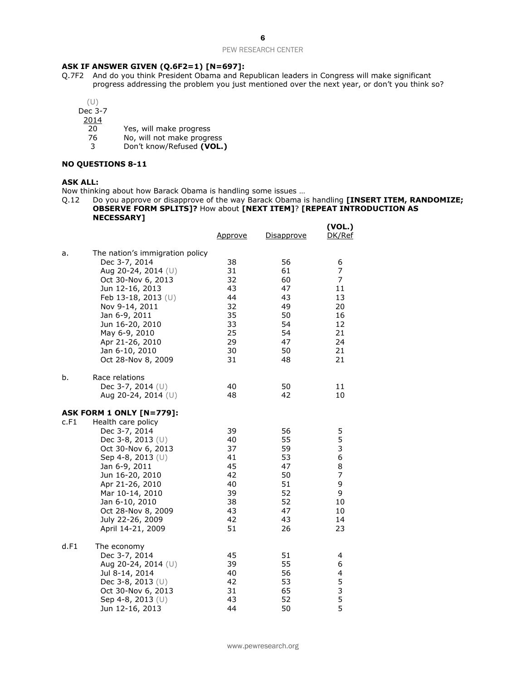### **ASK IF ANSWER GIVEN (Q.6F2=1) [N=697]:**

- Q.7F2 And do you think President Obama and Republican leaders in Congress will make significant progress addressing the problem you just mentioned over the next year, or don't you think so?
	- (U)

Dec 3-7

 $\frac{2014}{20}$ 

- 20 Yes, will make progress<br>76 No, will not make progres
- No, will not make progress
- 3 Don't know/Refused **(VOL.)**

### **NO QUESTIONS 8-11**

### **ASK ALL:**

Now thinking about how Barack Obama is handling some issues …

Q.12 Do you approve or disapprove of the way Barack Obama is handling **[INSERT ITEM, RANDOMIZE; OBSERVE FORM SPLITS]?** How about **[NEXT ITEM]**? **[REPEAT INTRODUCTION AS NECESSARY]**

|      |                                                                                                                                                                                                                                                                                                   | <u>Approve</u>                                                       | <u>Disapprove</u>                                                    | (VOL.)<br>DK/Ref                                                  |
|------|---------------------------------------------------------------------------------------------------------------------------------------------------------------------------------------------------------------------------------------------------------------------------------------------------|----------------------------------------------------------------------|----------------------------------------------------------------------|-------------------------------------------------------------------|
| a.   | The nation's immigration policy<br>Dec 3-7, 2014<br>Aug 20-24, 2014 (U)<br>Oct 30-Nov 6, 2013<br>Jun 12-16, 2013<br>Feb 13-18, 2013 (U)<br>Nov 9-14, 2011<br>Jan 6-9, 2011<br>Jun 16-20, 2010<br>May 6-9, 2010<br>Apr 21-26, 2010<br>Jan 6-10, 2010<br>Oct 28-Nov 8, 2009                         | 38<br>31<br>32<br>43<br>44<br>32<br>35<br>33<br>25<br>29<br>30<br>31 | 56<br>61<br>60<br>47<br>43<br>49<br>50<br>54<br>54<br>47<br>50<br>48 | 6<br>7<br>7<br>11<br>13<br>20<br>16<br>12<br>21<br>24<br>21<br>21 |
| b.   | Race relations<br>Dec 3-7, 2014 $(U)$<br>Aug 20-24, 2014 $(U)$                                                                                                                                                                                                                                    | 40<br>48                                                             | 50<br>42                                                             | 11<br>10                                                          |
| c.F1 | <b>ASK FORM 1 ONLY [N=779]:</b><br>Health care policy<br>Dec 3-7, 2014<br>Dec 3-8, 2013 (U)<br>Oct 30-Nov 6, 2013<br>Sep 4-8, 2013 (U)<br>Jan 6-9, 2011<br>Jun 16-20, 2010<br>Apr 21-26, 2010<br>Mar 10-14, 2010<br>Jan 6-10, 2010<br>Oct 28-Nov 8, 2009<br>July 22-26, 2009<br>April 14-21, 2009 | 39<br>40<br>37<br>41<br>45<br>42<br>40<br>39<br>38<br>43<br>42<br>51 | 56<br>55<br>59<br>53<br>47<br>50<br>51<br>52<br>52<br>47<br>43<br>26 | 5<br>5<br>3<br>6<br>8<br>7<br>9<br>9<br>10<br>10<br>14<br>23      |
| d.F1 | The economy<br>Dec 3-7, 2014<br>Aug 20-24, 2014 (U)<br>Jul 8-14, 2014<br>Dec 3-8, 2013 $(U)$<br>Oct 30-Nov 6, 2013<br>Sep 4-8, 2013 $(U)$<br>Jun 12-16, 2013                                                                                                                                      | 45<br>39<br>40<br>42<br>31<br>43<br>44                               | 51<br>55<br>56<br>53<br>65<br>52<br>50                               | 4<br>6<br>4<br>5<br>3<br>5<br>5                                   |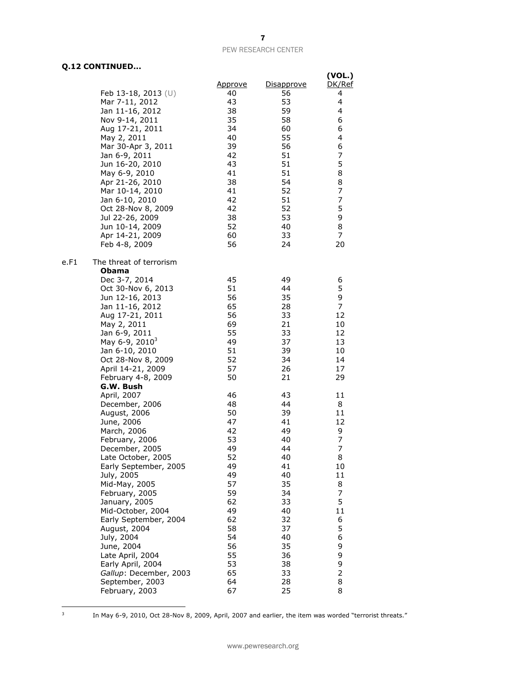### **Q.12 CONTINUED...**

|                                 |                |            | (VOL.)  |
|---------------------------------|----------------|------------|---------|
|                                 | <u>Approve</u> | Disapprove | DK/Ref  |
| Feb 13-18, 2013 $(U)$           | 40             | 56         | 4       |
| Mar 7-11, 2012                  | 43             | 53         | 4       |
| Jan 11-16, 2012                 | 38             | 59         | 4       |
| Nov 9-14, 2011                  | 35             | 58         | 6       |
| Aug 17-21, 2011                 | 34             | 60         | 6       |
| May 2, 2011                     | 40             | 55         | 4       |
| Mar 30-Apr 3, 2011              | 39             | 56         | 6       |
| Jan 6-9, 2011                   | 42             | 51         | 7       |
| Jun 16-20, 2010                 | 43             | 51         | 5       |
| May 6-9, 2010                   | 41             | 51         | 8       |
| Apr 21-26, 2010                 | 38             | 54         | 8       |
| Mar 10-14, 2010                 | 41             | 52         | 7       |
| Jan 6-10, 2010                  | 42             | 51         | 7       |
| Oct 28-Nov 8, 2009              | 42             | 52         | 5       |
| Jul 22-26, 2009                 | 38             | 53         | 9       |
| Jun 10-14, 2009                 | 52             | 40         | 8       |
| Apr 14-21, 2009                 | 60             | 33         | 7       |
| Feb 4-8, 2009                   | 56             | 24         | 20      |
| The threat of terrorism<br>e.F1 |                |            |         |
| <b>Obama</b>                    |                |            |         |
| Dec 3-7, 2014                   | 45             | 49         | 6       |
| Oct 30-Nov 6, 2013              | 51             | 44         | 5       |
| Jun 12-16, 2013                 | 56             | 35         | 9       |
| Jan 11-16, 2012                 | 65             | 28         | 7       |
| Aug 17-21, 2011                 | 56             | 33         | 12      |
| May 2, 2011                     | 69             | 21         | 10      |
| Jan 6-9, 2011                   | 55             | 33         | 12      |
| May 6-9, 2010 <sup>3</sup>      | 49             | 37         | 13      |
| Jan 6-10, 2010                  | 51             | 39         | 10      |
| Oct 28-Nov 8, 2009              | 52             | 34         | 14      |
| April 14-21, 2009               | 57             | 26         | 17      |
| February 4-8, 2009              | 50             | 21         | 29      |
| G.W. Bush                       |                |            |         |
| April, 2007                     | 46             | 43<br>44   | 11<br>8 |
| December, 2006                  | 48<br>50       | 39         | 11      |
| August, 2006                    | 47             | 41         | 12      |
| June, 2006<br>March, 2006       | 42             | 49         | 9       |
| February, 2006                  | 53             | 40         | 7       |
| December, 2005                  | 49             | 44         | 7       |
| Late October, 2005              | 52             | 40         | 8       |
| Early September, 2005           | 49             | 41         | 10      |
| July, 2005                      | 49             | 40         | 11      |
| Mid-May, 2005                   | 57             | 35         | 8       |
| February, 2005                  | 59             | 34         | 7       |
| January, 2005                   | 62             | 33         | 5       |
| Mid-October, 2004               | 49             | 40         | 11      |
| Early September, 2004           | 62             | 32         | 6       |
| August, 2004                    | 58             | 37         | 5       |
| July, 2004                      | 54             | 40         | 6       |
| June, 2004                      | 56             | 35         | 9       |
| Late April, 2004                | 55             | 36         | 9       |
| Early April, 2004               | 53             | 38         | 9       |
| Gallup: December, 2003          | 65             | 33         | 2       |
| September, 2003                 | 64             | 28         | 8       |
| February, 2003                  | 67             | 25         | 8       |

-<br>3

In May 6-9, 2010, Oct 28-Nov 8, 2009, April, 2007 and earlier, the item was worded "terrorist threats."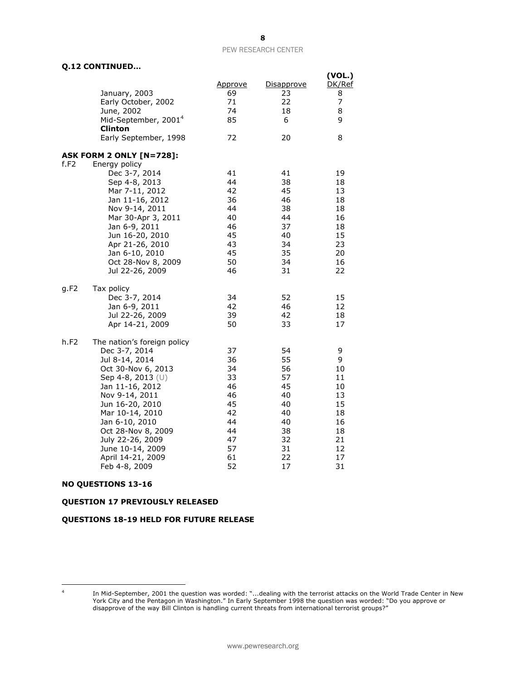### **Q.12 CONTINUED…**

|      |                                                                                                                                                                                                                                                                                                            |                                                                                  |                                                                                  | (VOL.)                                                                         |
|------|------------------------------------------------------------------------------------------------------------------------------------------------------------------------------------------------------------------------------------------------------------------------------------------------------------|----------------------------------------------------------------------------------|----------------------------------------------------------------------------------|--------------------------------------------------------------------------------|
|      | January, 2003<br>Early October, 2002<br>June, 2002<br>Mid-September, 2001 <sup>4</sup><br>Clinton                                                                                                                                                                                                          | <u>Approve</u><br>69<br>71<br>74<br>85                                           | Disapprove<br>23<br>22<br>18<br>6                                                | DK/Ref<br>8<br>7<br>8<br>9                                                     |
|      | Early September, 1998                                                                                                                                                                                                                                                                                      | 72                                                                               | 20                                                                               | 8                                                                              |
|      | <b>ASK FORM 2 ONLY [N=728]:</b>                                                                                                                                                                                                                                                                            |                                                                                  |                                                                                  |                                                                                |
| f.F2 | Energy policy<br>Dec 3-7, 2014<br>Sep 4-8, 2013<br>Mar 7-11, 2012<br>Jan 11-16, 2012<br>Nov 9-14, 2011<br>Mar 30-Apr 3, 2011<br>Jan 6-9, 2011<br>Jun 16-20, 2010<br>Apr 21-26, 2010<br>Jan 6-10, 2010<br>Oct 28-Nov 8, 2009<br>Jul 22-26, 2009                                                             | 41<br>44<br>42<br>36<br>44<br>40<br>46<br>45<br>43<br>45<br>50<br>46             | 41<br>38<br>45<br>46<br>38<br>44<br>37<br>40<br>34<br>35<br>34<br>31             | 19<br>18<br>13<br>18<br>18<br>16<br>18<br>15<br>23<br>20<br>16<br>22           |
| g.F2 | Tax policy<br>Dec 3-7, 2014<br>Jan 6-9, 2011<br>Jul 22-26, 2009<br>Apr 14-21, 2009                                                                                                                                                                                                                         | 34<br>42<br>39<br>50                                                             | 52<br>46<br>42<br>33                                                             | 15<br>12<br>18<br>17                                                           |
| h.F2 | The nation's foreign policy<br>Dec 3-7, 2014<br>Jul 8-14, 2014<br>Oct 30-Nov 6, 2013<br>Sep 4-8, 2013 (U)<br>Jan 11-16, 2012<br>Nov 9-14, 2011<br>Jun 16-20, 2010<br>Mar 10-14, 2010<br>Jan 6-10, 2010<br>Oct 28-Nov 8, 2009<br>July 22-26, 2009<br>June 10-14, 2009<br>April 14-21, 2009<br>Feb 4-8, 2009 | 37<br>36<br>34<br>33<br>46<br>46<br>45<br>42<br>44<br>44<br>47<br>57<br>61<br>52 | 54<br>55<br>56<br>57<br>45<br>40<br>40<br>40<br>40<br>38<br>32<br>31<br>22<br>17 | 9<br>9<br>10<br>11<br>10<br>13<br>15<br>18<br>16<br>18<br>21<br>12<br>17<br>31 |

### **NO QUESTIONS 13-16**

### **QUESTION 17 PREVIOUSLY RELEASED**

### **QUESTIONS 18-19 HELD FOR FUTURE RELEASE**

 $\overline{\phantom{a}}$ 4

In Mid-September, 2001 the question was worded: "...dealing with the terrorist attacks on the World Trade Center in New York City and the Pentagon in Washington." In Early September 1998 the question was worded: "Do you approve or disapprove of the way Bill Clinton is handling current threats from international terrorist groups?"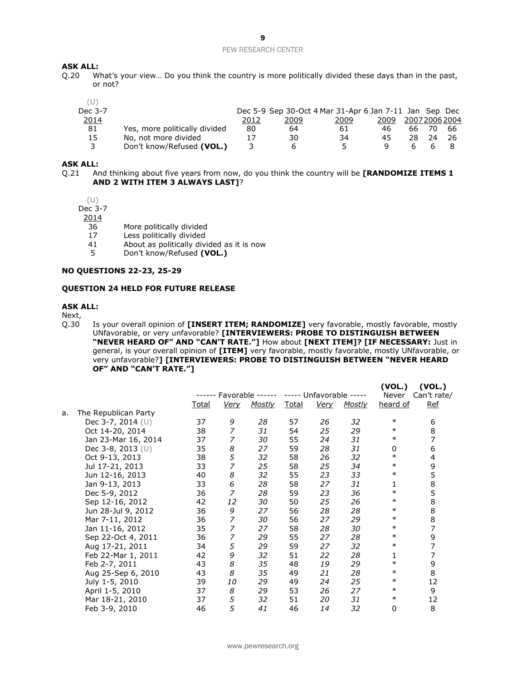## **ASK ALL:**<br>0.20 W

What's your view... Do you think the country is more politically divided these days than in the past, or not?

| Dec 3-7 |                               |      | Dec 5-9 Sep 30-Oct 4 Mar 31-Apr 6 Jan 7-11 Jan Sep Dec |      |      |    |              |     |
|---------|-------------------------------|------|--------------------------------------------------------|------|------|----|--------------|-----|
| 2014    |                               | 2012 | 2009                                                   | 2009 | 2009 |    | 200720062004 |     |
| 81      | Yes, more politically divided | 80   | 64                                                     | 61   | 46   | 66 |              | -66 |
| 15      | No, not more divided          | 17   | 30                                                     | 34   | 45   | 28 |              |     |
| 3       | Don't know/Refused (VOL.)     |      | h                                                      | 5.   |      |    |              |     |

#### **ASK ALL:**

Q.21 And thinking about five years from now, do you think the country will be **[RANDOMIZE ITEMS 1 AND 2 WITH ITEM 3 ALWAYS LAST]**?

(U) Dec 3-7

2014

- 36 More politically divided
- 17 Less politically divided
- 
- 41 About as politically divided as it is now<br>5 Don't know/Refused (VOL.) 5 Don't know/Refused **(VOL.)**

### **NO QUESTIONS 22-23, 25-29**

#### **QUESTION 24 HELD FOR FUTURE RELEASE**

#### **ASK ALL:**

Next,

Q.30 Is your overall opinion of **[INSERT ITEM; RANDOMIZE]** very favorable, mostly favorable, mostly UNfavorable, or very unfavorable? **[INTERVIEWERS: PROBE TO DISTINGUISH BETWEEN "NEVER HEARD OF" AND "CAN'T RATE."]** How about **[NEXT ITEM]? [IF NECESSARY:** Just in general, is your overall opinion of **[ITEM]** very favorable, mostly favorable, mostly UNfavorable, or very unfavorable?**] [INTERVIEWERS: PROBE TO DISTINGUISH BETWEEN "NEVER HEARD OF" AND "CAN'T RATE."]**

**(VOL.) (VOL.)**

|    |                      |       |                  |               |       |                   |        | (VVL.)   | (VVL.)      |
|----|----------------------|-------|------------------|---------------|-------|-------------------|--------|----------|-------------|
|    |                      |       | Favorable        |               |       | Unfavorable ----- |        | Never    | Can't rate/ |
|    |                      | Total | <u>Very</u>      | <b>Mostly</b> | Total | <u>Very</u>       | Mostly | heard of | <b>Ref</b>  |
| a. | The Republican Party |       |                  |               |       |                   |        |          |             |
|    | Dec 3-7, 2014 (U)    | 37    | 9                | 28            | 57    | 26                | 32     | $\ast$   | 6           |
|    | Oct 14-20, 2014      | 38    | 7                | 31            | 54    | 25                | 29     | $\ast$   | 8           |
|    | Jan 23-Mar 16, 2014  | 37    | 7                | 30            | 55    | 24                | 31     | $\ast$   | 7           |
|    | Dec 3-8, 2013 (U)    | 35    | 8                | 27            | 59    | 28                | 31     | 0        | 6           |
|    | Oct 9-13, 2013       | 38    | 5                | 32            | 58    | 26                | 32     | $\ast$   | 4           |
|    | Jul 17-21, 2013      | 33    | 7                | 25            | 58    | 25                | 34     | $\ast$   | 9           |
|    | Jun 12-16, 2013      | 40    | 8                | 32            | 55    | 23                | 33     | $\ast$   | 5           |
|    | Jan 9-13, 2013       | 33    | 6                | 28            | 58    | 27                | 31     | 1        | 8           |
|    | Dec 5-9, 2012        | 36    | 7                | 28            | 59    | 23                | 36     | $\ast$   | 5           |
|    | Sep 12-16, 2012      | 42    | 12               | 30            | 50    | 25                | 26     | $\ast$   | 8           |
|    | Jun 28-Jul 9, 2012   | 36    | 9                | 27            | 56    | 28                | 28     | $\ast$   | 8           |
|    | Mar 7-11, 2012       | 36    | 7                | 30            | 56    | 27                | 29     | $\ast$   | 8           |
|    | Jan 11-16, 2012      | 35    | 7                | 27            | 58    | 28                | 30     | $\ast$   | 7           |
|    | Sep 22-Oct 4, 2011   | 36    | 7                | 29            | 55    | 27                | 28     | $\ast$   | 9           |
|    | Aug 17-21, 2011      | 34    | 5                | 29            | 59    | 27                | 32     | $\ast$   | 7           |
|    | Feb 22-Mar 1, 2011   | 42    | 9                | 32            | 51    | 22                | 28     | 1        | 7           |
|    | Feb 2-7, 2011        | 43    | $\boldsymbol{8}$ | 35            | 48    | 19                | 29     | $\ast$   | 9           |
|    | Aug 25-Sep 6, 2010   | 43    | 8                | 35            | 49    | 21                | 28     | $\ast$   | 8           |
|    | July 1-5, 2010       | 39    | 10               | 29            | 49    | 24                | 25     | $\ast$   | 12          |
|    | April 1-5, 2010      | 37    | 8                | 29            | 53    | 26                | 27     | $\ast$   | 9           |
|    | Mar 18-21, 2010      | 37    | 5                | 32            | 51    | 20                | 31     | $\ast$   | 12          |
|    | Feb 3-9, 2010        | 46    | 5                | 41            | 46    | 14                | 32     | 0        | 8           |
|    |                      |       |                  |               |       |                   |        |          |             |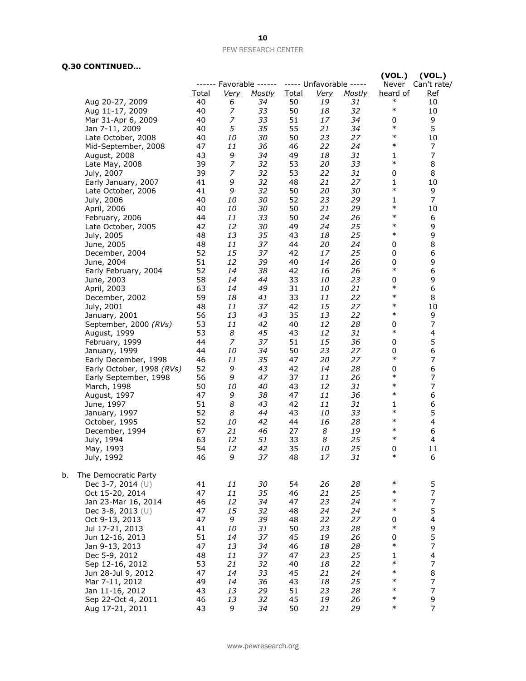### **Q.30 CONTINUED…**

|    |                           |              |                  |                         |              |                         |               | (VOL.)           | (VOL.)                   |
|----|---------------------------|--------------|------------------|-------------------------|--------------|-------------------------|---------------|------------------|--------------------------|
|    |                           |              |                  | ------ Favorable ------ |              | ----- Unfavorable ----- |               |                  | Never Can't rate/        |
|    |                           | <b>Total</b> | <b>Very</b>      | <u>Mostly</u>           | <b>Total</b> | <u>Very</u>             | <b>Mostly</b> | heard of         | <u>Ref</u>               |
|    | Aug 20-27, 2009           | 40           | 6                | 34                      | 50           | 19                      | 31            | $\ast$<br>$\ast$ | 10                       |
|    | Aug 11-17, 2009           | 40           | 7                | 33                      | 50           | 18                      | 32            |                  | 10                       |
|    | Mar 31-Apr 6, 2009        | 40           | 7                | 33                      | 51           | 17                      | 34            | 0                | 9                        |
|    | Jan 7-11, 2009            | 40           | 5                | 35                      | 55           | 21                      | 34            | $\ast$           | 5                        |
|    | Late October, 2008        | 40           | 10               | 30                      | 50           | 23                      | 27            | $\ast$           | 10                       |
|    | Mid-September, 2008       | 47           | 11               | 36                      | 46           | 22                      | 24            | $\ast$           | 7                        |
|    | August, 2008              | 43           | 9                | 34                      | 49           | 18                      | 31            | 1                | $\overline{7}$           |
|    | Late May, 2008            | 39           | $\boldsymbol{7}$ | 32                      | 53           | 20                      | 33            | $\ast$           | 8                        |
|    | July, 2007                | 39           | $\overline{z}$   | 32                      | 53           | 22                      | 31            | 0                | 8                        |
|    | Early January, 2007       | 41           | 9                | 32                      | 48           | 21                      | 27            | 1                | 10                       |
|    | Late October, 2006        | 41           | 9                | 32                      | 50           | 20                      | 30            | $\ast$           | 9                        |
|    | July, 2006                | 40           | 10               | 30                      | 52           | 23                      | 29            | 1                | $\overline{7}$           |
|    | April, 2006               | 40           | 10               | 30                      | 50           | 21                      | 29            | $\ast$           | 10                       |
|    | February, 2006            | 44           | 11               | 33                      | 50           | 24                      | 26            | $\ast$           | 6                        |
|    | Late October, 2005        | 42           | 12               | 30                      | 49           | 24                      | 25            | $\ast$           | 9                        |
|    | July, 2005                | 48           | 13               | 35                      | 43           | 18                      | 25            | $\ast$           | 9                        |
|    | June, 2005                | 48           | 11               | 37                      | 44           | 20                      | 24            | 0                | 8                        |
|    | December, 2004            | 52           | 15               | 37                      | 42           | 17                      | 25            | 0                | $\boldsymbol{6}$         |
|    | June, 2004                | 51           | 12               | 39                      | 40           | 14                      | 26            | 0                | 9                        |
|    | Early February, 2004      | 52           | 14               | 38                      | 42           | 16                      | 26            | $\ast$           | $\boldsymbol{6}$         |
|    | June, 2003                | 58           | 14               | 44                      | 33           | 10                      | 23            | 0                | 9                        |
|    | April, 2003               | 63           | 14               | 49                      | 31           | 10                      | 21            | $\ast$           | 6                        |
|    | December, 2002            | 59           | 18               | 41                      | 33           | 11                      | 22            | $\ast$           | 8                        |
|    | July, 2001                | 48           | 11               | 37                      | 42           | 15                      | 27            | $\ast$           | 10                       |
|    | January, 2001             | 56           | 13               | 43                      | 35           | 13                      | 22            | $\ast$           | 9                        |
|    | September, 2000 (RVs)     | 53           | 11               | 42                      | 40           | 12                      | 28            | 0                | $\boldsymbol{7}$         |
|    | August, 1999              | 53           | 8                | 45                      | 43           | 12                      | 31            | $\ast$           | $\overline{\mathbf{4}}$  |
|    | February, 1999            | 44           | $\overline{z}$   | 37                      | 51           | 15                      | 36            | 0                | 5                        |
|    | January, 1999             | 44           | 10               | 34                      | 50           | 23                      | 27            | 0                | $\boldsymbol{6}$         |
|    | Early December, 1998      | 46           | 11               | 35                      | 47           | 20                      | 27            | $\ast$           | $\overline{7}$           |
|    | Early October, 1998 (RVs) | 52           | 9                | 43                      | 42           | 14                      | 28            | 0                | $\boldsymbol{6}$         |
|    | Early September, 1998     | 56           | 9                | 47                      | 37           | 11                      | 26            | $\ast$           | $\boldsymbol{7}$         |
|    | March, 1998               | 50           | 10               | 40                      | 43           | 12                      | 31            | $\ast$           | $\overline{7}$           |
|    | August, 1997              | 47           | 9                | 38                      | 47           | 11                      | 36            | $\ast$           | 6                        |
|    | June, 1997                | 51           | 8                | 43                      | 42           | 11                      | 31            | 1                | $\boldsymbol{6}$         |
|    | January, 1997             | 52           | 8                | 44                      | 43           | 10                      | 33            | $\ast$           | 5                        |
|    | October, 1995             | 52           | 10               | 42                      | 44           | 16                      | 28            | $\ast$           | $\overline{\mathcal{A}}$ |
|    | December, 1994            | 67           | 21               | 46                      | 27           | 8                       | 19            | $\ast$           | 6                        |
|    | July, 1994                | 63           | 12               | 51                      | 33           | 8                       | 25            | $\ast$           | 4                        |
|    | May, 1993                 | 54           | 12               | 42                      | 35           | 10                      | 25            | 0                | 11                       |
|    | July, 1992                | 46           | 9                | 37                      | 48           | 17                      | 31            | $\ast$           | 6                        |
|    |                           |              |                  |                         |              |                         |               |                  |                          |
| b. | The Democratic Party      |              |                  |                         |              |                         |               |                  |                          |
|    | Dec 3-7, 2014 (U)         | 41           | 11               | 30                      | 54           | 26                      | 28            | $\ast$           | 5                        |
|    | Oct 15-20, 2014           | 47           | 11               | 35                      | 46           | 21                      | 25            | $\ast$           | $\boldsymbol{7}$         |
|    | Jan 23-Mar 16, 2014       | 46           | 12               | 34                      | 47           | 23                      | 24            | $\ast$           | $\overline{7}$           |
|    | Dec 3-8, 2013 (U)         | 47           | 15               | 32                      | 48           | 24                      | 24            | $\ast$           | 5                        |
|    | Oct 9-13, 2013            | 47           | 9                | 39                      | 48           | 22                      | 27            | 0                | $\overline{\mathcal{A}}$ |
|    | Jul 17-21, 2013           | 41           | 10               | 31                      | 50           | 23                      | 28            | $\ast$           | 9                        |
|    | Jun 12-16, 2013           | 51           | 14               | 37                      | 45           | 19                      | 26            | 0                | 5                        |
|    | Jan 9-13, 2013            | 47           | 13               | 34                      | 46           | 18                      | 28            | $\ast$           | $\boldsymbol{7}$         |
|    | Dec 5-9, 2012             | 48           | 11               | 37                      | 47           | 23                      | 25            | 1                | $\overline{\mathcal{A}}$ |
|    | Sep 12-16, 2012           | 53           | 21               | 32                      | 40           | 18                      | 22            | $\ast$           | $\overline{7}$           |
|    | Jun 28-Jul 9, 2012        | 47           | 14               | 33                      | 45           | 21                      | 24            | $\ast$           | 8                        |
|    | Mar 7-11, 2012            | 49           | 14               | 36                      | 43           | 18                      | 25            | $\ast$           | $\boldsymbol{7}$         |
|    | Jan 11-16, 2012           | 43           | 13               | 29                      | 51           | 23                      | 28            | $\ast$           | $\overline{7}$           |
|    | Sep 22-Oct 4, 2011        | 46           | 13               | 32                      | 45           | 19                      | 26            | $\ast$           | 9                        |
|    | Aug 17-21, 2011           | 43           | 9                | 34                      | 50           | 21                      | 29            | $\ast$           | 7                        |
|    |                           |              |                  |                         |              |                         |               |                  |                          |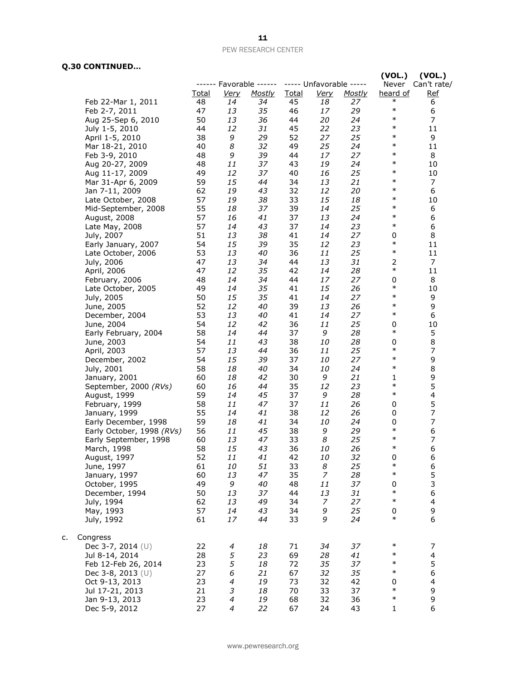### **Q.30 CONTINUED…**

c.

| .                         |       |                          |                         |              |                         |               | (VOL.)             | (VOL.)                   |
|---------------------------|-------|--------------------------|-------------------------|--------------|-------------------------|---------------|--------------------|--------------------------|
|                           |       |                          | ------ Favorable ------ |              | ----- Unfavorable ----- |               | Never              | Can't rate/              |
|                           | Total | <u>Very</u>              | <b>Mostly</b>           | <b>Total</b> | Very                    | <b>Mostly</b> | heard of<br>$\ast$ | <u>Ref</u>               |
| Feb 22-Mar 1, 2011        | 48    | 14                       | 34                      | 45           | 18                      | 27            | $\ast$             | 6                        |
| Feb 2-7, 2011             | 47    | 13                       | 35                      | 46           | 17                      | 29            |                    | 6                        |
| Aug 25-Sep 6, 2010        | 50    | 13                       | 36                      | 44           | 20                      | 24            | $\ast$<br>$\ast$   | 7                        |
| July 1-5, 2010            | 44    | 12                       | 31                      | 45           | 22                      | 23            |                    | 11                       |
| April 1-5, 2010           | 38    | 9                        | 29                      | 52           | 27                      | 25            | $\ast$             | 9                        |
| Mar 18-21, 2010           | 40    | 8                        | 32                      | 49           | 25                      | 24            | $\ast$             | 11                       |
| Feb 3-9, 2010             | 48    | 9                        | 39                      | 44           | 17                      | 27            | $\ast$             | 8                        |
| Aug 20-27, 2009           | 48    | 11                       | 37                      | 43           | 19                      | 24            | $\ast$             | 10                       |
| Aug 11-17, 2009           | 49    | 12                       | 37                      | 40           | 16                      | 25            | $\ast$             | 10                       |
| Mar 31-Apr 6, 2009        | 59    | 15                       | 44                      | 34           | 13                      | 21            | $\ast$             | 7                        |
| Jan 7-11, 2009            | 62    | 19                       | 43                      | 32           | 12                      | 20            | $\ast$             | 6                        |
| Late October, 2008        | 57    | 19                       | 38                      | 33           | 15                      | 18            | $\ast$             | 10                       |
| Mid-September, 2008       | 55    | 18                       | 37                      | 39           | 14                      | 25            | $\ast$             | 6                        |
| August, 2008              | 57    | 16                       | 41                      | 37           | 13                      | 24            | $\ast$             | 6                        |
| Late May, 2008            | 57    | 14                       | 43                      | 37           | 14                      | 23            | $\ast$             | 6                        |
| July, 2007                | 51    | 13                       | 38                      | 41           | 14                      | 27            | 0                  | 8                        |
| Early January, 2007       | 54    | 15                       | 39                      | 35           | 12                      | 23            | $\ast$             | 11                       |
| Late October, 2006        | 53    | 13                       | 40                      | 36           | 11                      | 25            | $\ast$             | 11                       |
| July, 2006                | 47    | 13                       | 34                      | 44           | 13                      | 31            | 2                  | 7                        |
| April, 2006               | 47    | 12                       | 35                      | 42           | 14                      | 28            | $\ast$             | 11                       |
| February, 2006            | 48    | 14                       | 34                      | 44           | 17                      | 27            | 0                  | 8                        |
| Late October, 2005        | 49    | 14                       | 35                      | 41           | 15                      | 26            | $\ast$             | 10                       |
| July, 2005                | 50    | 15                       | 35                      | 41           | 14                      | 27            | $\ast$             | 9                        |
| June, 2005                | 52    | 12                       | 40                      | 39           | 13                      | 26            | $\ast$             | 9                        |
| December, 2004            | 53    | 13                       | 40                      | 41           | 14                      | 27            | $\ast$             | 6                        |
| June, 2004                | 54    | 12                       | 42                      | 36           | 11                      | 25            | 0                  | 10                       |
| Early February, 2004      | 58    | 14                       | 44                      | 37           | 9                       | 28            | $\ast$             | 5                        |
| June, 2003                | 54    | 11                       | 43                      | 38           | 10                      | 28            | 0                  | 8                        |
| April, 2003               | 57    | 13                       | 44                      | 36           | 11                      | 25            | $\ast$             | $\overline{7}$           |
| December, 2002            | 54    | 15                       | 39                      | 37           | 10                      | 27            | $\ast$             | 9                        |
| July, 2001                | 58    | 18                       | 40                      | 34           | 10                      | 24            | $\ast$             | 8                        |
| January, 2001             | 60    | 18                       | 42                      | 30           | 9                       | 21            | 1                  | 9                        |
| September, 2000 (RVs)     | 60    | 16                       | 44                      | 35           | 12                      | 23            | $\ast$             | 5                        |
| August, 1999              | 59    | 14                       | 45                      | 37           | 9                       | 28            | $\ast$             | 4                        |
| February, 1999            | 58    | 11                       | 47                      | 37           | 11                      | 26            | 0                  | 5                        |
| January, 1999             | 55    | 14                       | 41                      | 38           | 12                      | 26            | 0                  | $\boldsymbol{7}$         |
| Early December, 1998      | 59    | 18                       | 41                      | 34           | 10                      | 24            | 0                  | $\overline{7}$           |
| Early October, 1998 (RVs) | 56    | 11                       | 45                      | 38           | 9                       | 29            | $\ast$             | 6                        |
| Early September, 1998     | 60    | 13                       | 47                      | 33           | 8                       | 25            | $\ast$             | $\overline{7}$           |
| March, 1998               | 58    | 15                       | 43                      | 36           | 10                      | 26            | $\ast$             | 6                        |
| August, 1997              | 52    | 11                       | 41                      | 42           | 10                      | 32            | 0                  | 6                        |
| June, 1997                | 61    | 10                       | 51                      | 33           | 8                       | 25            | $\ast$             | 6                        |
| January, 1997             | 60    | 13                       | 47                      | 35           | $\overline{z}$          | 28            | $\ast$             | 5                        |
| October, 1995             | 49    | 9                        | 40                      | 48           | 11                      | 37            | 0                  | 3                        |
| December, 1994            | 50    | 13                       | 37                      | 44           | 13                      | 31            | $\ast$             | 6                        |
| July, 1994                | 62    | 13                       | 49                      | 34           | 7                       | 27            | $\ast$             | 4                        |
| May, 1993                 | 57    | 14                       | 43                      | 34           | 9                       | 25            | 0                  | 9                        |
| July, 1992                | 61    | 17                       | 44                      | 33           | 9                       | 24            | $\ast$             | 6                        |
| Congress                  |       |                          |                         |              |                         |               |                    |                          |
| Dec 3-7, 2014 (U)         | 22    | 4                        | 18                      | 71           | 34                      | 37            | $\ast$             | 7                        |
| Jul 8-14, 2014            | 28    | 5                        | 23                      | 69           | 28                      | 41            | $\ast$             | $\overline{\mathcal{A}}$ |
| Feb 12-Feb 26, 2014       | 23    | 5                        | 18                      | 72           | 35                      | 37            | $\ast$             | 5                        |
| Dec 3-8, 2013 $(U)$       | 27    | 6                        | 21                      | 67           | 32                      | 35            | $\ast$             | 6                        |
| Oct 9-13, 2013            | 23    | 4                        | 19                      | 73           | 32                      | 42            | 0                  | 4                        |
| Jul 17-21, 2013           | 21    | 3                        | 18                      | 70           | 33                      | 37            | $\ast$             | 9                        |
| Jan 9-13, 2013            | 23    | $\overline{\mathcal{A}}$ | 19                      | 68           | 32                      | 36            | $\ast$             | 9                        |
| Dec 5-9, 2012             | 27    | 4                        | 22                      | 67           | 24                      | 43            | 1                  | 6                        |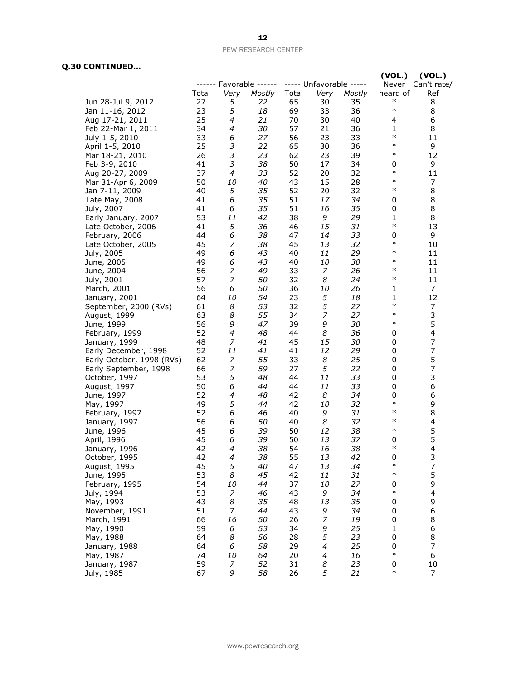### **Q.30 CONTINUED…**

|                           |              |                |                         |              |                         |               | (VOL.)       | (VOL.)                  |
|---------------------------|--------------|----------------|-------------------------|--------------|-------------------------|---------------|--------------|-------------------------|
|                           |              |                | ------ Favorable ------ |              | ----- Unfavorable ----- |               | Never        | Can't rate/             |
|                           | <u>Total</u> | <u>Very</u>    | <b>Mostly</b>           | <b>Total</b> | <u>Very</u>             | <u>Mostly</u> | heard of     | <b>Ref</b>              |
| Jun 28-Jul 9, 2012        | 27           | 5              | 22                      | 65           | 30                      | 35            | $\ast$       | 8                       |
| Jan 11-16, 2012           | 23           | 5              | 18                      | 69           | 33                      | 36            | $\ast$       | 8                       |
| Aug 17-21, 2011           | 25           | 4              | 21                      | 70           | 30                      | 40            | 4            | 6                       |
| Feb 22-Mar 1, 2011        | 34           | 4              | 30                      | 57           | 21                      | 36            | 1            | 8                       |
| July 1-5, 2010            | 33           | 6              | 27                      | 56           | 23                      | 33            | $\ast$       | 11                      |
| April 1-5, 2010           | 25           | 3              | 22                      | 65           | 30                      | 36            | $\ast$       | 9                       |
| Mar 18-21, 2010           | 26           | 3              | 23                      | 62           | 23                      | 39            | $\ast$       | 12                      |
| Feb 3-9, 2010             | 41           | 3              | 38                      | 50           | 17                      | 34            | 0            | 9                       |
| Aug 20-27, 2009           | 37           | 4              | 33                      | 52           | 20                      | 32            | $\ast$       | 11                      |
| Mar 31-Apr 6, 2009        | 50           | 10             | 40                      | 43           | 15                      | 28            | $\ast$       | 7                       |
| Jan 7-11, 2009            | 40           | 5              | 35                      | 52           | 20                      | 32            | $\ast$       | 8                       |
| Late May, 2008            | 41           | 6              | 35                      | 51           | 17                      | 34            | 0            | 8                       |
| July, 2007                | 41           | 6              | 35                      | 51           | 16                      | 35            | 0            | 8                       |
| Early January, 2007       | 53           | 11             | 42                      | 38           | 9                       | 29            | $\mathbf{1}$ | 8                       |
| Late October, 2006        | 41           | 5              | 36                      | 46           | 15                      | 31            | $\ast$       | 13                      |
| February, 2006            | 44           | 6              | 38                      | 47           | 14                      | 33            | 0            | 9                       |
| Late October, 2005        | 45           | 7              | 38                      | 45           | 13                      | 32            | $\ast$       | 10                      |
| July, 2005                | 49           | 6              | 43                      | 40           | 11                      | 29            | $\ast$       | 11                      |
| June, 2005                | 49           | 6              | 43                      | 40           | 10                      | 30            | $\ast$       | 11                      |
| June, 2004                | 56           | 7              | 49                      | 33           | 7                       | 26            | $\ast$       | 11                      |
| July, 2001                | 57           | 7              | 50                      | 32           | 8                       | 24            | $\ast$       | 11                      |
| March, 2001               | 56           | 6              | 50                      | 36           | 10                      | 26            | 1            | $\overline{7}$          |
| January, 2001             | 64           | 10             | 54                      | 23           | 5                       | 18            | 1            | 12                      |
| September, 2000 (RVs)     | 61           | 8              | 53                      | 32           | 5                       | 27            | $\ast$       | 7                       |
| August, 1999              | 63           | 8              | 55                      | 34           | $\overline{z}$          | 27            | $\ast$       | 3                       |
| June, 1999                | 56           | 9              | 47                      | 39           | 9                       | 30            | $\ast$       | 5                       |
| February, 1999            | 52           | 4              | 48                      | 44           | 8                       | 36            | 0            | 4                       |
| January, 1999             | 48           | 7              | 41                      | 45           | 15                      | 30            | 0            | 7                       |
| Early December, 1998      | 52           | 11             | 41                      | 41           | 12                      | 29            | 0            | 7                       |
| Early October, 1998 (RVs) | 62           | 7              | 55                      | 33           | 8                       | 25            | 0            | 5                       |
| Early September, 1998     | 66           | 7              | 59                      | 27           | 5                       | 22            | 0            | 7                       |
| October, 1997             | 53           | 5              | 48                      | 44           | 11                      | 33            | 0            | 3                       |
| August, 1997              | 50           | 6              | 44                      | 44           | 11                      | 33            | 0            | 6                       |
| June, 1997                | 52           | 4              | 48                      | 42           | 8                       | 34            | 0            | 6                       |
| May, 1997                 | 49           | 5              | 44                      | 42           | 10                      | 32            | $\ast$       | 9                       |
| February, 1997            | 52           | 6              | 46                      | 40           | 9                       | 31            | $\ast$       | 8                       |
| January, 1997             | 56           | 6              | 50                      | 40           | 8                       | 32            | $\ast$       | 4                       |
| June, 1996                | 45           | 6              | 39                      | 50           | 12                      | 38            | $\ast$       | 5                       |
| April, 1996               | 45           | 6              | 39                      | 50           | 13                      | 37            | 0            | 5                       |
| January, 1996             | 42           | $\overline{4}$ | 38                      | 54           | 16                      | 38            | $\ast$       | $\overline{4}$          |
| October, 1995             | 42           | 4              | 38                      | 55           | 13                      | 42            | 0            | 3                       |
| August, 1995              | 45           | 5              | 40                      | 47           | 13                      | 34            | $\ast$       | $\boldsymbol{7}$        |
| June, 1995                | 53           | 8              | 45                      | 42           | 11                      | 31            | $\ast$       | 5                       |
| February, 1995            | 54           | 10             | 44                      | 37           | 10                      | 27            | 0            | 9                       |
| July, 1994                | 53           | 7              | 46                      | 43           | 9                       | 34            | $\ast$       | $\overline{\mathbf{4}}$ |
| May, 1993                 | 43           | 8              | 35                      | 48           | 13                      | 35            | 0            | 9                       |
| November, 1991            | 51           | $\overline{7}$ | 44                      | 43           | 9                       | 34            | 0            | 6                       |
| March, 1991               | 66           | 16             | 50                      | 26           | $\boldsymbol{7}$        | 19            | 0            | 8                       |
| May, 1990                 | 59           | 6              | 53                      | 34           | 9                       | 25            | $\mathbf{1}$ | 6                       |
| May, 1988                 | 64           | 8              | 56                      | 28           | 5                       | 23            | 0            | 8                       |
| January, 1988             | 64           | 6              | 58                      | 29           | 4                       | 25            | 0            | $\overline{7}$          |
| May, 1987                 | 74           | 10             | 64                      | 20           | $\overline{4}$          | 16            | $\ast$       | 6                       |
| January, 1987             | 59           | 7              | 52                      | 31           | 8                       | 23            | 0            | 10                      |
| July, 1985                | 67           | 9              | 58                      | 26           | 5                       | 21            | $\ast$       | $\overline{7}$          |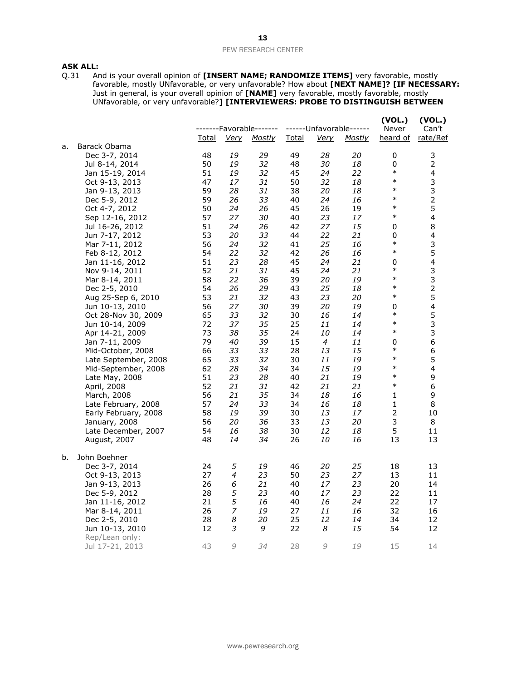# **ASK ALL:**<br>Q.31 Ar

Q.31 And is your overall opinion of **[INSERT NAME; RANDOMIZE ITEMS]** very favorable, mostly favorable, mostly UNfavorable, or very unfavorable? How about **[NEXT NAME]? [IF NECESSARY:**  Just in general, is your overall opinion of **[NAME]** very favorable, mostly favorable, mostly UNfavorable, or very unfavorable?**] [INTERVIEWERS: PROBE TO DISTINGUISH BETWEEN** 

|    |                      |              |                | -------Favorable------- |              |             | ------Unfavorable------ | (VOL.)<br>Never | (VOL.)<br>Can't         |
|----|----------------------|--------------|----------------|-------------------------|--------------|-------------|-------------------------|-----------------|-------------------------|
|    |                      | <u>Total</u> | <b>Very</b>    | <b>Mostly</b>           | <u>Total</u> | <u>Verv</u> | <u>Mostly</u>           | heard of        | rate/Ref                |
| a. | Barack Obama         |              |                |                         |              |             |                         |                 |                         |
|    | Dec 3-7, 2014        | 48           | 19             | 29                      | 49           | 28          | 20                      | $\pmb{0}$       | 3                       |
|    | Jul 8-14, 2014       | 50           | 19             | 32                      | 48           | 30          | 18                      | 0               | $\overline{2}$          |
|    | Jan 15-19, 2014      | 51           | 19             | 32                      | 45           | 24          | 22                      | $\ast$          | $\overline{\mathbf{4}}$ |
|    | Oct 9-13, 2013       | 47           | 17             | 31                      | 50           | 32          | 18                      | $\ast$          | 3                       |
|    | Jan 9-13, 2013       | 59           | 28             | 31                      | 38           | 20          | 18                      | $\ast$          | 3                       |
|    | Dec 5-9, 2012        | 59           | 26             | 33                      | 40           | 24          | 16                      | $\ast$          | $\overline{c}$          |
|    | Oct 4-7, 2012        | 50           | 24             | 26                      | 45           | 26          | 19                      | $\ast$          | 5                       |
|    | Sep 12-16, 2012      | 57           | 27             | 30                      | 40           | 23          | 17                      | $\ast$          | $\overline{4}$          |
|    | Jul 16-26, 2012      | 51           | 24             | 26                      | 42           | 27          | 15                      | $\pmb{0}$       | 8                       |
|    | Jun 7-17, 2012       | 53           | 20             | 33                      | 44           | 22          | 21                      | 0               | 4                       |
|    | Mar 7-11, 2012       | 56           | 24             | 32                      | 41           | 25          | 16                      | $\ast$          | 3                       |
|    | Feb 8-12, 2012       | 54           | 22             | 32                      | 42           | 26          | 16                      | $\ast$          | 5                       |
|    | Jan 11-16, 2012      | 51           | 23             | 28                      | 45           | 24          | 21                      | 0               | $\overline{\mathbf{4}}$ |
|    | Nov 9-14, 2011       | 52           | 21             | 31                      | 45           | 24          | 21                      | $\ast$          | 3                       |
|    | Mar 8-14, 2011       | 58           | 22             | 36                      | 39           | 20          | 19                      | $\ast$          | 3                       |
|    | Dec 2-5, 2010        | 54           | 26             | 29                      | 43           | 25          | 18                      | $\ast$          | $\mathbf 2$             |
|    | Aug 25-Sep 6, 2010   | 53           | 21             | 32                      | 43           | 23          | 20                      | $\ast$          | 5                       |
|    | Jun 10-13, 2010      | 56           | 27             | 30                      | 39           | 20          | 19                      | 0               | 4                       |
|    | Oct 28-Nov 30, 2009  | 65           | 33             | 32                      | 30           | 16          | 14                      | $\ast$          | 5                       |
|    | Jun 10-14, 2009      | 72           | 37             | 35                      | 25           | 11          | 14                      | $\ast$          | 3                       |
|    | Apr 14-21, 2009      | 73           | 38             | 35                      | 24           | 10          | 14                      | $\ast$          | 3                       |
|    | Jan 7-11, 2009       | 79           | 40             | 39                      | 15           | 4           | 11                      | 0               | 6                       |
|    | Mid-October, 2008    | 66           | 33             | 33                      | 28           | 13          | 15                      | $\ast$          | 6                       |
|    | Late September, 2008 | 65           | 33             | 32                      | 30           | 11          | 19                      | $\ast$          | 5                       |
|    | Mid-September, 2008  | 62           | 28             | 34                      | 34           | 15          | 19                      | $\ast$          | $\overline{\mathbf{4}}$ |
|    | Late May, 2008       | 51           | 23             | 28                      | 40           | 21          | 19                      | $\ast$          | 9                       |
|    | April, 2008          | 52           | 21             | 31                      | 42           | 21          | 21                      | $\ast$          | 6                       |
|    | March, 2008          | 56           | 21             | 35                      | 34           | 18          | 16                      | 1               | 9                       |
|    | Late February, 2008  | 57           | 24             | 33                      | 34           | 16          | 18                      | 1               | 8                       |
|    | Early February, 2008 | 58           | 19             | 39                      | 30           | 13          | 17                      | $\overline{2}$  | 10                      |
|    | January, 2008        | 56           | 20             | 36                      | 33           | 13          | 20                      | 3               | 8                       |
|    | Late December, 2007  | 54           | 16             | 38                      | 30           | 12          | 18                      | 5               | 11                      |
|    | August, 2007         | 48           | 14             | 34                      | 26           | 10          | 16                      | 13              | 13                      |
| b. | John Boehner         |              |                |                         |              |             |                         |                 |                         |
|    | Dec 3-7, 2014        | 24           | 5              | 19                      | 46           | 20          | 25                      | 18              | 13                      |
|    | Oct 9-13, 2013       | 27           | 4              | 23                      | 50           | 23          | 27                      | 13              | 11                      |
|    | Jan 9-13, 2013       | 26           | 6              | 21                      | 40           | 17          | 23                      | 20              | 14                      |
|    | Dec 5-9, 2012        | 28           | 5              | 23                      | 40           | 17          | 23                      | 22              | 11                      |
|    | Jan 11-16, 2012      | 21           | 5              | 16                      | 40           | 16          | 24                      | 22              | 17                      |
|    | Mar 8-14, 2011       | 26           | $\overline{z}$ | 19                      | 27           | 11          | 16                      | 32              | 16                      |
|    | Dec 2-5, 2010        | 28           | 8              | 20                      | 25           | 12          | 14                      | 34              | 12                      |
|    | Jun 10-13, 2010      | 12           | 3              | 9                       | 22           | 8           | 15                      | 54              | 12                      |
|    | Rep/Lean only:       |              |                |                         |              |             |                         |                 |                         |
|    | Jul 17-21, 2013      | 43           | 9              | 34                      | 28           | 9           | 19                      | 15              | 14                      |
|    |                      |              |                |                         |              |             |                         |                 |                         |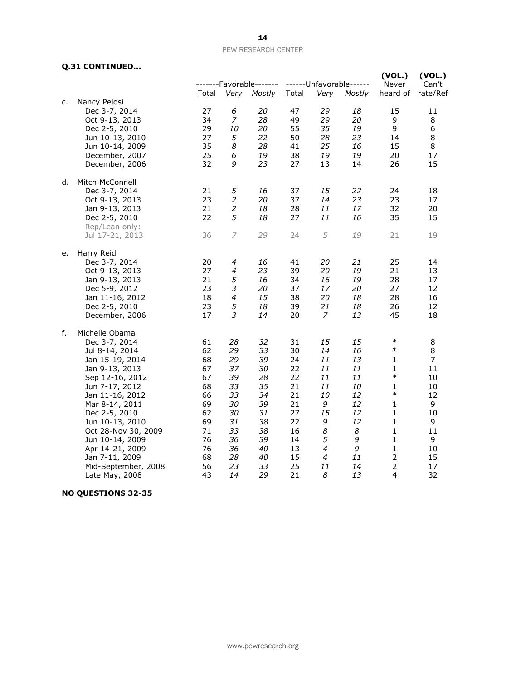### **Q.31 CONTINUED...**

|    | $\sim$                            |              |                  |                         |              |                     |                         | (VOL.)                         | (VOL.)         |
|----|-----------------------------------|--------------|------------------|-------------------------|--------------|---------------------|-------------------------|--------------------------------|----------------|
|    |                                   |              |                  | -------Favorable------- |              |                     | ------Unfavorable------ | Never                          | Can't          |
| c. | Nancy Pelosi                      | <u>Total</u> | <b>Very</b>      | <b>Mostly</b>           | <b>Total</b> | <u>Very</u>         | <u>Mostly</u>           | heard of                       | rate/Ref       |
|    | Dec 3-7, 2014                     | 27           | 6                | 20                      | 47           | 29                  | 18                      | 15                             | 11             |
|    | Oct 9-13, 2013                    | 34           | 7                | 28                      | 49           | 29                  | 20                      | 9                              | 8              |
|    | Dec 2-5, 2010                     | 29           | 10               | 20                      | 55           | 35                  | 19                      | 9                              | 6              |
|    | Jun 10-13, 2010                   | 27           | 5                | 22                      | 50           | 28                  | 23                      | 14                             | 8              |
|    | Jun 10-14, 2009                   | 35           | 8                | 28                      | 41           | 25                  | 16                      | 15                             | 8              |
|    | December, 2007                    | 25           | 6                | 19                      | 38           | 19                  | 19                      | 20                             | 17             |
|    | December, 2006                    | 32           | 9                | 23                      | 27           | 13                  | 14                      | 26                             | 15             |
| d. | Mitch McConnell                   |              |                  |                         |              |                     |                         |                                |                |
|    | Dec 3-7, 2014                     | 21           | 5                | 16                      | 37           | 15                  | 22                      | 24                             | 18             |
|    | Oct 9-13, 2013                    | 23           | $\overline{c}$   | 20                      | 37           | 14                  | 23                      | 23                             | 17             |
|    | Jan 9-13, 2013                    | 21           | $\boldsymbol{2}$ | 18                      | 28           | 11                  | 17                      | 32                             | 20             |
|    | Dec 2-5, 2010                     | 22           | 5                | 18                      | 27           | 11                  | 16                      | 35                             | 15             |
|    | Rep/Lean only:                    |              |                  |                         |              |                     |                         |                                |                |
|    | Jul 17-21, 2013                   | 36           | 7                | 29                      | 24           | 5                   | 19                      | 21                             | 19             |
| e. | Harry Reid                        |              |                  |                         |              |                     |                         |                                |                |
|    | Dec 3-7, 2014<br>Oct 9-13, 2013   | 20<br>27     | 4<br>4           | 16<br>23                | 41<br>39     | 20<br>20            | 21<br>19                | 25<br>21                       | 14<br>13       |
|    | Jan 9-13, 2013                    | 21           | 5                | 16                      | 34           | 16                  | 19                      | 28                             | 17             |
|    | Dec 5-9, 2012                     | 23           | 3                | 20                      | 37           | 17                  | 20                      | 27                             | 12             |
|    | Jan 11-16, 2012                   | 18           | 4                | 15                      | 38           | 20                  | 18                      | 28                             | 16             |
|    | Dec 2-5, 2010                     | 23           | 5                | 18                      | 39           | 21                  | 18                      | 26                             | 12             |
|    | December, 2006                    | 17           | 3                | 14                      | 20           | 7                   | 13                      | 45                             | 18             |
| f. | Michelle Obama                    |              |                  |                         |              |                     |                         |                                |                |
|    | Dec 3-7, 2014                     | 61           | 28               | 32                      | 31           | 15                  | 15                      | $\ast$                         | 8              |
|    | Jul 8-14, 2014                    | 62           | 29               | 33                      | 30           | 14                  | 16                      | $\ast$                         | 8              |
|    | Jan 15-19, 2014                   | 68           | 29               | 39                      | 24           | 11                  | 13                      | 1                              | $\overline{7}$ |
|    | Jan 9-13, 2013                    | 67           | 37               | 30                      | 22           | 11                  | 11                      | 1                              | 11             |
|    | Sep 12-16, 2012                   | 67           | 39               | 28                      | 22           | 11                  | 11                      | $\ast$                         | 10             |
|    | Jun 7-17, 2012                    | 68           | 33               | 35                      | 21           | 11                  | 10                      | 1                              | 10             |
|    | Jan 11-16, 2012                   | 66           | 33               | 34                      | 21           | 10                  | 12                      | $\ast$                         | 12             |
|    | Mar 8-14, 2011                    | 69           | 30               | 39                      | 21           | 9                   | 12                      | 1                              | 9              |
|    | Dec 2-5, 2010                     | 62           | 30               | 31                      | 27           | 15                  | 12                      | $\mathbf{1}$                   | 10             |
|    | Jun 10-13, 2010                   | 69           | 31               | 38                      | 22           | 9                   | 12                      | 1                              | 9              |
|    | Oct 28-Nov 30, 2009               | 71           | 33               | 38                      | 16           | 8                   | 8                       | $\mathbf{1}$                   | 11             |
|    | Jun 10-14, 2009                   | 76           | 36               | 39<br>40                | 14           | 5<br>$\overline{4}$ | 9<br>9                  | $\mathbf{1}$                   | 9              |
|    | Apr 14-21, 2009<br>Jan 7-11, 2009 | 76<br>68     | 36<br>28         | 40                      | 13<br>15     | 4                   | 11                      | $\mathbf{1}$<br>$\overline{2}$ | 10<br>15       |
|    | Mid-September, 2008               | 56           | 23               | 33                      | 25           | 11                  | 14                      | $\mathbf 2$                    | 17             |
|    | Late May, 2008                    | 43           | 14               | 29                      | 21           | 8                   | 13                      | 4                              | 32             |
|    |                                   |              |                  |                         |              |                     |                         |                                |                |

## **NO QUESTIONS 32-35**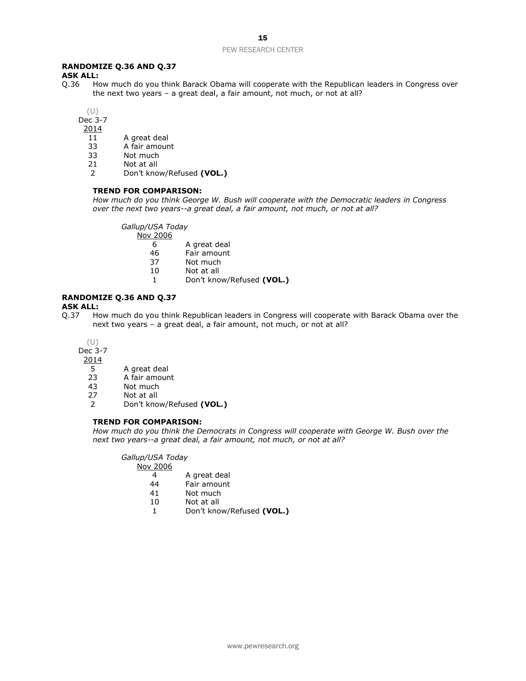### **RANDOMIZE Q.36 AND Q.37**

**ASK ALL:**<br>Q.36 Ho How much do you think Barack Obama will cooperate with the Republican leaders in Congress over the next two years – a great deal, a fair amount, not much, or not at all?

(U)

Dec 3-7

2014

- 11 A great deal
- 33 A fair amount<br>33 Not much
- Not much
- 21 Not at all
- 2 Don't know/Refused **(VOL.)**

### **TREND FOR COMPARISON:**

*How much do you think George W. Bush will cooperate with the Democratic leaders in Congress over the next two years--a great deal, a fair amount, not much, or not at all?*

*Gallup/USA Today*

- Nov 2006
	- 6 A great deal
	- 46 Fair amount
	- 37 Not much
	- 10 Not at all
	- 1 Don't know/Refused **(VOL.)**

## **RANDOMIZE Q.36 AND Q.37**

**ASK ALL:**

Q.37 How much do you think Republican leaders in Congress will cooperate with Barack Obama over the next two years – a great deal, a fair amount, not much, or not at all?

(U)

Dec 3-7

 $\frac{2014}{5}$ 

- A great deal
- 23 A fair amount
- 43 Not much
- 27 Not at all
- 2 Don't know/Refused **(VOL.)**

#### **TREND FOR COMPARISON:**

*How much do you think the Democrats in Congress will cooperate with George W. Bush over the next two years--a great deal, a fair amount, not much, or not at all?*

*Gallup/USA Today*

Nov 2006

- 4 A great deal<br>44 Fair amount
- Fair amount
- 41 Not much
- 10 Not at all
- 1 Don't know/Refused **(VOL.)**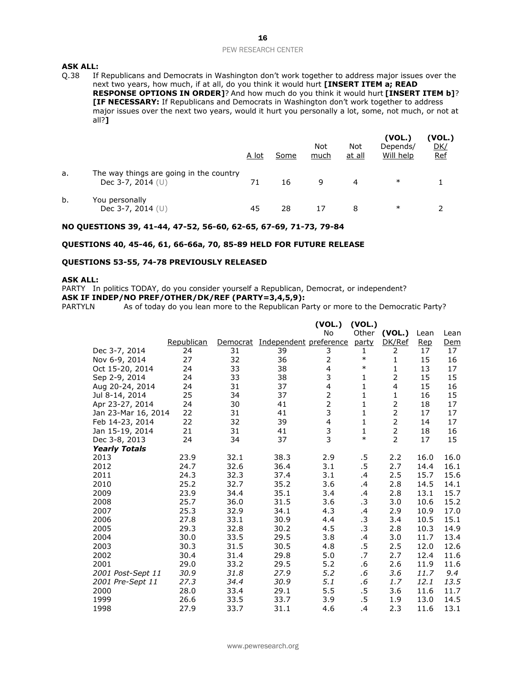## **ASK ALL:**<br>0.38 If

If Republicans and Democrats in Washington don't work together to address major issues over the next two years, how much, if at all, do you think it would hurt **[INSERT ITEM a; READ RESPONSE OPTIONS IN ORDER]**? And how much do you think it would hurt **[INSERT ITEM b]**? **[IF NECESSARY:** If Republicans and Democrats in Washington don't work together to address major issues over the next two years, would it hurt you personally a lot, some, not much, or not at all?**]** 

|    |                                                                | A lot | Some | <b>Not</b><br>much | Not<br>at all | (VOL.)<br>Depends/<br>Will help | (VOL.)<br><u>DK/</u><br><b>Ref</b> |
|----|----------------------------------------------------------------|-------|------|--------------------|---------------|---------------------------------|------------------------------------|
| a. | The way things are going in the country<br>Dec 3-7, 2014 $(U)$ |       | 16   | 9                  |               | $\ast$                          |                                    |
| b. | You personally<br>Dec 3-7, 2014 $(U)$                          | 45    | 28   |                    | 8             | ∗                               |                                    |

#### **NO QUESTIONS 39, 41-44, 47-52, 56-60, 62-65, 67-69, 71-73, 79-84**

### **QUESTIONS 40, 45-46, 61, 66-66a, 70, 85-89 HELD FOR FUTURE RELEASE**

### **QUESTIONS 53-55, 74-78 PREVIOUSLY RELEASED**

### **ASK ALL:**

PARTY In politics TODAY, do you consider yourself a Republican, Democrat, or independent? **ASK IF INDEP/NO PREF/OTHER/DK/REF (PARTY=3,4,5,9):**

PARTYLN As of today do you lean more to the Republican Party or more to the Democratic Party?

|                      |            |          |                        | (VOL.)         | (VOL.)       |                |      |      |
|----------------------|------------|----------|------------------------|----------------|--------------|----------------|------|------|
|                      |            |          |                        | No             | Other        | (VOL.)         | Lean | Lean |
|                      | Republican | Democrat | Independent preference |                | party        | DK/Ref         | Rep  | Dem  |
| Dec 3-7, 2014        | 24         | 31       | 39                     | 3              | 1            | 2              | 17   | 17   |
| Nov 6-9, 2014        | 27         | 32       | 36                     | 2              | $\ast$       | $\mathbf{1}$   | 15   | 16   |
| Oct 15-20, 2014      | 24         | 33       | 38                     | $\overline{4}$ | $\ast$       | 1              | 13   | 17   |
| Sep 2-9, 2014        | 24         | 33       | 38                     | 3              | 1            | 2              | 15   | 15   |
| Aug 20-24, 2014      | 24         | 31       | 37                     | 4              | $\mathbf{1}$ | $\overline{4}$ | 15   | 16   |
| Jul 8-14, 2014       | 25         | 34       | 37                     | $\overline{2}$ | $\mathbf{1}$ | $\mathbf{1}$   | 16   | 15   |
| Apr 23-27, 2014      | 24         | 30       | 41                     | $\overline{2}$ | $\mathbf{1}$ | $\overline{2}$ | 18   | 17   |
| Jan 23-Mar 16, 2014  | 22         | 31       | 41                     | 3              | $\mathbf{1}$ | $\overline{2}$ | 17   | 17   |
| Feb 14-23, 2014      | 22         | 32       | 39                     | $\overline{4}$ | 1            | $\overline{2}$ | 14   | 17   |
| Jan 15-19, 2014      | 21         | 31       | 41                     | $\frac{3}{3}$  | $\mathbf{1}$ | $\overline{2}$ | 18   | 16   |
| Dec 3-8, 2013        | 24         | 34       | 37                     |                | $\ast$       | $\overline{2}$ | 17   | 15   |
| <b>Yearly Totals</b> |            |          |                        |                |              |                |      |      |
| 2013                 | 23.9       | 32.1     | 38.3                   | 2.9            | .5           | 2.2            | 16.0 | 16.0 |
| 2012                 | 24.7       | 32.6     | 36.4                   | 3.1            | .5           | 2.7            | 14.4 | 16.1 |
| 2011                 | 24.3       | 32.3     | 37.4                   | 3.1            | .4           | 2.5            | 15.7 | 15.6 |
| 2010                 | 25.2       | 32.7     | 35.2                   | 3.6            | .4           | 2.8            | 14.5 | 14.1 |
| 2009                 | 23.9       | 34.4     | 35.1                   | 3.4            | .4           | 2.8            | 13.1 | 15.7 |
| 2008                 | 25.7       | 36.0     | 31.5                   | 3.6            | .3           | 3.0            | 10.6 | 15.2 |
| 2007                 | 25.3       | 32.9     | 34.1                   | 4.3            | .4           | 2.9            | 10.9 | 17.0 |
| 2006                 | 27.8       | 33.1     | 30.9                   | 4.4            | .3           | 3.4            | 10.5 | 15.1 |
| 2005                 | 29.3       | 32.8     | 30.2                   | 4.5            | .3           | 2.8            | 10.3 | 14.9 |
| 2004                 | 30.0       | 33.5     | 29.5                   | 3.8            | $\cdot$      | 3.0            | 11.7 | 13.4 |
| 2003                 | 30.3       | 31.5     | 30.5                   | 4.8            | .5           | 2.5            | 12.0 | 12.6 |
| 2002                 | 30.4       | 31.4     | 29.8                   | 5.0            | .7           | 2.7            | 12.4 | 11.6 |
| 2001                 | 29.0       | 33.2     | 29.5                   | 5.2            | .6           | 2.6            | 11.9 | 11.6 |
| 2001 Post-Sept 11    | 30.9       | 31.8     | 27.9                   | 5.2            | .6           | 3.6            | 11.7 | 9,4  |
| 2001 Pre-Sept 11     | 27.3       | 34.4     | 30.9                   | 5.1            | .6           | 1.7            | 12.1 | 13.5 |
| 2000                 | 28.0       | 33.4     | 29.1                   | 5.5            | .5           | 3.6            | 11.6 | 11.7 |
| 1999                 | 26.6       | 33.5     | 33.7                   | 3.9            | .5           | 1.9            | 13.0 | 14.5 |
| 1998                 | 27.9       | 33.7     | 31.1                   | 4.6            | .4           | 2.3            | 11.6 | 13.1 |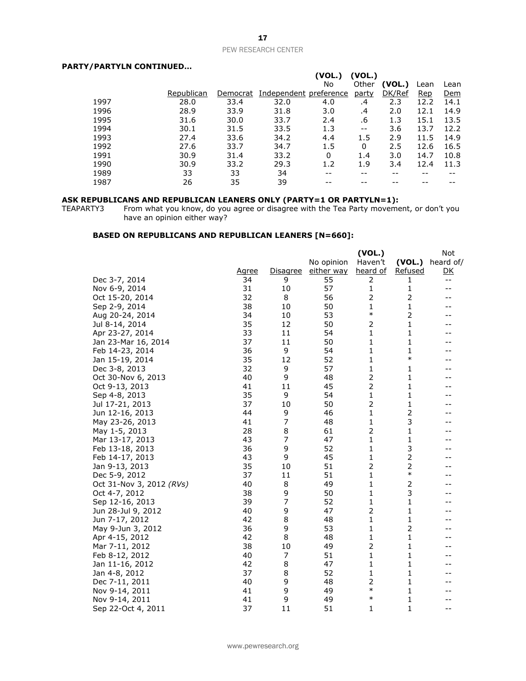### **PARTY/PARTYLN CONTINUED…**

|      |            |          |                        | (VOL.) | (VOL.)       |        |      |      |
|------|------------|----------|------------------------|--------|--------------|--------|------|------|
|      |            |          |                        | No     | Other        | (VOL.) | Lean | Lean |
|      | Republican | Democrat | Independent preference |        | <u>party</u> | DK/Ref | Rep  | Dem  |
| 1997 | 28.0       | 33.4     | 32.0                   | 4.0    | .4           | 2.3    | 12.2 | 14.1 |
| 1996 | 28.9       | 33.9     | 31.8                   | 3.0    | .4           | 2.0    | 12.1 | 14.9 |
| 1995 | 31.6       | 30.0     | 33.7                   | 2.4    | .6           | 1.3    | 15.1 | 13.5 |
| 1994 | 30.1       | 31.5     | 33.5                   | 1.3    | $- -$        | 3.6    | 13.7 | 12.2 |
| 1993 | 27.4       | 33.6     | 34.2                   | 4.4    | 1.5          | 2.9    | 11.5 | 14.9 |
| 1992 | 27.6       | 33.7     | 34.7                   | 1.5    | 0            | 2.5    | 12.6 | 16.5 |
| 1991 | 30.9       | 31.4     | 33.2                   | 0      | 1.4          | 3.0    | 14.7 | 10.8 |
| 1990 | 30.9       | 33.2     | 29.3                   | 1.2    | 1.9          | 3.4    | 12.4 | 11.3 |
| 1989 | 33         | 33       | 34                     | --     | --           | --     |      |      |
| 1987 | 26         | 35       | 39                     |        |              |        |      |      |

#### **ASK REPUBLICANS AND REPUBLICAN LEANERS ONLY (PARTY=1 OR PARTYLN=1):**

TEAPARTY3 From what you know, do you agree or disagree with the Tea Party movement, or don't you have an opinion either way?

### **BASED ON REPUBLICANS AND REPUBLICAN LEANERS [N=660]:**

|                          |              |                 |            | (VOL.)         |                | Not       |
|--------------------------|--------------|-----------------|------------|----------------|----------------|-----------|
|                          |              |                 | No opinion | Haven't        | (VOL.)         | heard of/ |
|                          | <u>Agree</u> | <b>Disagree</b> | either way | heard of       | <b>Refused</b> | <u>DK</u> |
| Dec 3-7, 2014            | 34           | 9               | 55         | 2              | 1              | $- -$     |
| Nov 6-9, 2014            | 31           | 10              | 57         | $\mathbf{1}$   | 1              | $- -$     |
| Oct 15-20, 2014          | 32           | 8               | 56         | $\overline{2}$ | $\overline{2}$ | --        |
| Sep 2-9, 2014            | 38           | 10              | 50         | 1              | 1              |           |
| Aug 20-24, 2014          | 34           | 10              | 53         | $\ast$         | 2              | --        |
| Jul 8-14, 2014           | 35           | 12              | 50         | 2              | 1              |           |
| Apr 23-27, 2014          | 33           | 11              | 54         | 1              | 1              |           |
| Jan 23-Mar 16, 2014      | 37           | 11              | 50         | 1              | 1              | --        |
| Feb 14-23, 2014          | 36           | 9               | 54         | 1              | $\mathbf{1}$   |           |
| Jan 15-19, 2014          | 35           | 12              | 52         | 1              | $\ast$         |           |
| Dec 3-8, 2013            | 32           | 9               | 57         | 1              | 1              |           |
| Oct 30-Nov 6, 2013       | 40           | 9               | 48         | 2              | 1              |           |
| Oct 9-13, 2013           | 41           | 11              | 45         | $\overline{2}$ | 1              |           |
| Sep 4-8, 2013            | 35           | 9               | 54         | $\mathbf{1}$   | 1              | --        |
| Jul 17-21, 2013          | 37           | 10              | 50         | $\overline{2}$ | $\mathbf{1}$   |           |
| Jun 12-16, 2013          | 44           | 9               | 46         | 1              | 2              |           |
| May 23-26, 2013          | 41           | 7               | 48         | 1              | 3              |           |
| May 1-5, 2013            | 28           | 8               | 61         | $\overline{2}$ | 1              |           |
| Mar 13-17, 2013          | 43           | 7               | 47         | 1              | 1              |           |
| Feb 13-18, 2013          | 36           | 9               | 52         | 1              | 3              |           |
| Feb 14-17, 2013          | 43           | 9               | 45         | 1              | $\overline{2}$ |           |
| Jan 9-13, 2013           | 35           | 10              | 51         | 2              | 2              |           |
| Dec 5-9, 2012            | 37           | 11              | 51         | 1              | $\ast$         |           |
| Oct 31-Nov 3, 2012 (RVs) | 40           | 8               | 49         | 1              | 2              |           |
| Oct 4-7, 2012            | 38           | 9               | 50         | 1              | 3              |           |
| Sep 12-16, 2013          | 39           | 7               | 52         | 1              | 1              | --        |
| Jun 28-Jul 9, 2012       | 40           | 9               | 47         | 2              | $\mathbf{1}$   |           |
| Jun 7-17, 2012           | 42           | 8               | 48         | 1              | 1              |           |
| May 9-Jun 3, 2012        | 36           | 9               | 53         | 1              | 2              |           |
| Apr 4-15, 2012           | 42           | 8               | 48         | 1              | 1              |           |
| Mar 7-11, 2012           | 38           | 10              | 49         | $\overline{2}$ | 1              |           |
| Feb 8-12, 2012           | 40           | 7               | 51         | 1              | 1              |           |
| Jan 11-16, 2012          | 42           | 8               | 47         | 1              | 1              |           |
| Jan 4-8, 2012            | 37           | 8               | 52         | 1              | 1              |           |
| Dec 7-11, 2011           | 40           | 9               | 48         | 2              | 1              |           |
| Nov 9-14, 2011           | 41           | 9               | 49         | $\ast$         | 1              |           |
| Nov 9-14, 2011           | 41           | 9               | 49         | $\ast$         | 1              |           |
| Sep 22-Oct 4, 2011       | 37           | 11              | 51         | 1              | $\mathbf{1}$   | $- -$     |